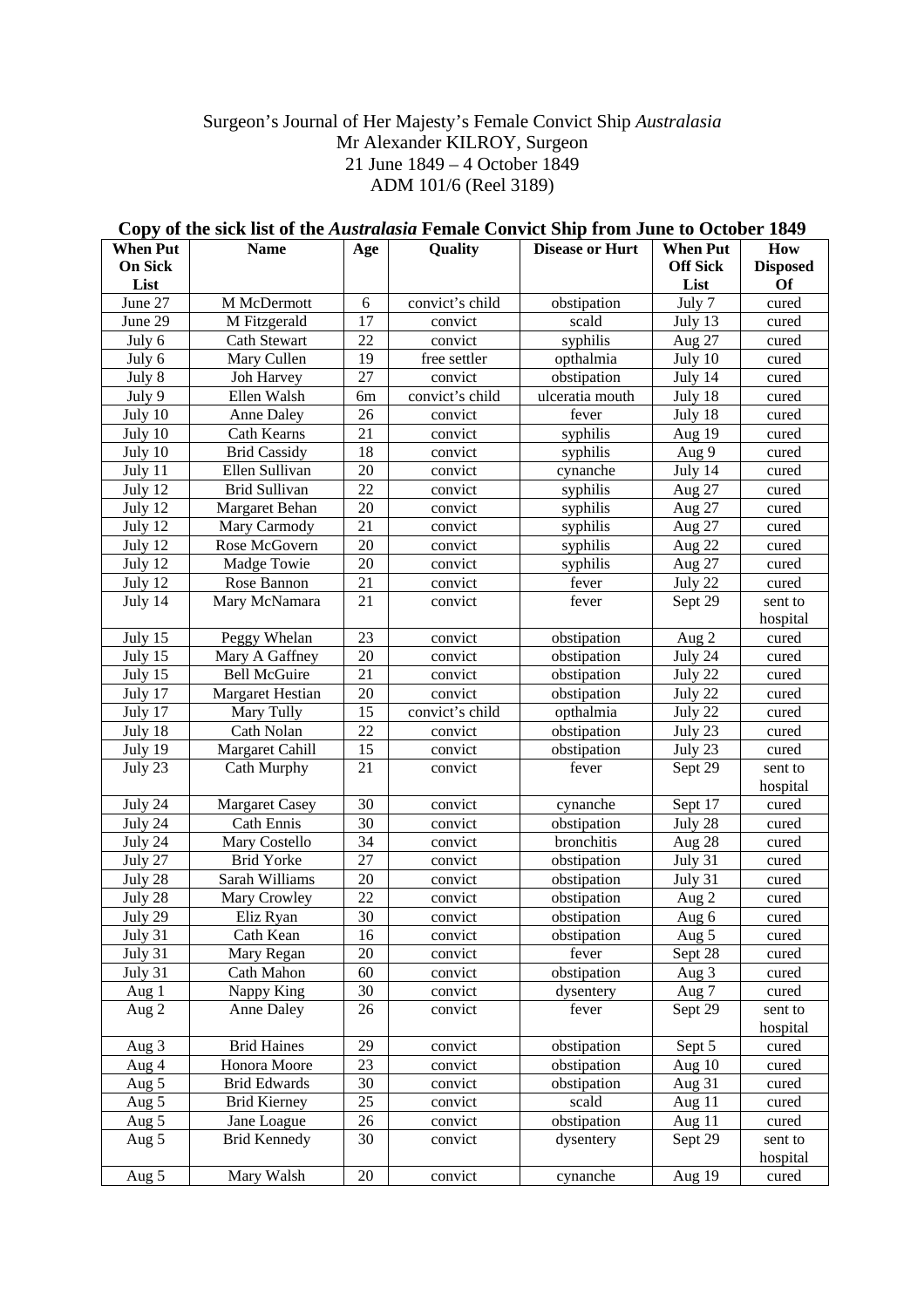## Surgeon's Journal of Her Majesty's Female Convict Ship *Australasia* Mr Alexander KILROY, Surgeon 21 June 1849 – 4 October 1849 ADM 101/6 (Reel 3189)

| <b>Of</b><br>List<br>List<br>June 27<br>M McDermott<br>6<br>convict's child<br>July 7<br>obstipation<br>cured<br>17<br>June 29<br>M Fitzgerald<br>scald<br>July 13<br>convict<br>cured<br><b>Cath Stewart</b><br>22<br>July 6<br>syphilis<br>Aug 27<br>convict<br>cured<br>July 6<br>19<br>Mary Cullen<br>free settler<br>opthalmia<br>July 10<br>cured<br>27<br>July 8<br>July 14<br>Joh Harvey<br>convict<br>obstipation<br>cured<br>July 18<br>July 9<br>Ellen Walsh<br>convict's child<br>ulceratia mouth<br>6m<br>cured<br>26<br>July 10<br>July 18<br>Anne Daley<br>convict<br>fever<br>cured<br>21<br>July 10<br>Cath Kearns<br>syphilis<br>Aug 19<br>convict<br>cured<br>18<br>July 10<br><b>Brid Cassidy</b><br>Aug 9<br>convict<br>syphilis<br>cured<br>20<br>July 14<br>July 11<br>Ellen Sullivan<br>convict<br>cynanche<br>cured<br>22<br>July 12<br><b>Brid Sullivan</b><br>syphilis<br>Aug 27<br>convict<br>cured<br>Margaret Behan<br>20<br>July 12<br>syphilis<br>Aug 27<br>convict<br>cured<br>21<br>July 12<br>Mary Carmody<br>Aug 27<br>convict<br>syphilis<br>cured<br>20<br>July 12<br>Rose McGovern<br>syphilis<br>Aug 22<br>convict<br>cured<br>20<br>July 12<br>Madge Towie<br>syphilis<br>Aug 27<br>convict<br>cured<br>21<br>July 12<br>Rose Bannon<br>fever<br>July 22<br>convict<br>cured<br>21<br>July 14<br>Mary McNamara<br>Sept 29<br>fever<br>convict<br>sent to<br>hospital<br>23<br>Peggy Whelan<br>cured<br>July 15<br>obstipation<br>Aug 2<br>convict<br>20<br>July 15<br>Mary A Gaffney<br>convict<br>obstipation<br>July 24<br>cured<br>21<br><b>Bell McGuire</b><br>July 15<br>convict<br>obstipation<br>July 22<br>cured<br>20<br>July 17<br><b>Margaret Hestian</b><br>convict<br>obstipation<br>July 22<br>cured<br>15<br>convict's child<br>July 17<br>Mary Tully<br>opthalmia<br>July 22<br>cured<br>22<br>Cath Nolan<br>July 18<br>convict<br>obstipation<br>July 23<br>cured<br>Margaret Cahill<br>15<br>July 19<br>convict<br>obstipation<br>July 23<br>cured<br>July 23<br>Cath Murphy<br>21<br>Sept 29<br>convict<br>fever<br>sent to<br>hospital<br>July 24<br>30<br>convict<br>cynanche<br>Sept 17<br>cured<br><b>Margaret Casey</b><br>July 24<br><b>Cath Ennis</b><br>30<br>obstipation<br>July 28<br>convict<br>cured<br>34<br>bronchitis<br>July 24<br>Mary Costello<br>convict<br>Aug 28<br>cured<br>27<br>July 27<br><b>Brid Yorke</b><br>obstipation<br>July 31<br>convict<br>cured<br>Sarah Williams<br>20<br>July 28<br>convict<br>obstipation<br>July 31<br>cured<br>July 28<br>Mary Crowley<br>22<br>convict<br>obstipation<br>Aug 2<br>cured<br>30<br>July 29<br>Eliz Ryan<br>obstipation<br>convict<br>Aug 6<br>cured<br>16<br>July 31<br>Cath Kean<br>Aug 5<br>convict<br>obstipation<br>cured<br>July 31<br>20<br>Sept 28<br>Mary Regan<br>fever<br>convict<br>cured<br>obstipation<br>July 31<br>Cath Mahon<br>60<br>convict<br>Aug 3<br>cured<br>30<br>Nappy King<br>Aug 1<br>dysentery<br>Aug 7<br>cured<br>convict<br>26<br>Anne Daley<br>convict<br>fever<br>Sept 29<br>Aug $2$<br>sent to<br>hospital<br><b>Brid Haines</b><br>29<br>obstipation<br>Aug 3<br>Sept 5<br>cured<br>convict<br>23<br>Aug 4<br>Honora Moore<br>obstipation<br>Aug 10<br>convict<br>cured<br>30<br>Aug 31<br>Aug $5$<br><b>Brid Edwards</b><br>obstipation<br>convict<br>cured<br>25<br>scald<br>Aug 11<br>Aug 5<br><b>Brid Kierney</b><br>convict<br>cured<br>obstipation<br>Aug 11<br>Jane Loague<br>26<br>Aug 5<br>convict<br>cured<br><b>Brid Kennedy</b><br>30<br>Sept 29<br>Aug 5<br>dysentery<br>convict<br>sent to<br>hospital | <b>When Put</b><br><b>On Sick</b> | <b>Name</b> | Age | Quality | <b>Disease or Hurt</b> | <b>When Put</b><br><b>Off Sick</b> | How<br><b>Disposed</b> |
|-------------------------------------------------------------------------------------------------------------------------------------------------------------------------------------------------------------------------------------------------------------------------------------------------------------------------------------------------------------------------------------------------------------------------------------------------------------------------------------------------------------------------------------------------------------------------------------------------------------------------------------------------------------------------------------------------------------------------------------------------------------------------------------------------------------------------------------------------------------------------------------------------------------------------------------------------------------------------------------------------------------------------------------------------------------------------------------------------------------------------------------------------------------------------------------------------------------------------------------------------------------------------------------------------------------------------------------------------------------------------------------------------------------------------------------------------------------------------------------------------------------------------------------------------------------------------------------------------------------------------------------------------------------------------------------------------------------------------------------------------------------------------------------------------------------------------------------------------------------------------------------------------------------------------------------------------------------------------------------------------------------------------------------------------------------------------------------------------------------------------------------------------------------------------------------------------------------------------------------------------------------------------------------------------------------------------------------------------------------------------------------------------------------------------------------------------------------------------------------------------------------------------------------------------------------------------------------------------------------------------------------------------------------------------------------------------------------------------------------------------------------------------------------------------------------------------------------------------------------------------------------------------------------------------------------------------------------------------------------------------------------------------------------------------------------------------------------------------------------------------------------------------------------------------------------------------------------------------------------------------------------------------------------------------------------------------------------------------------------------------------------------------------------------------------------------------------------------------------------------------------------------------------------------------------------------------------------------|-----------------------------------|-------------|-----|---------|------------------------|------------------------------------|------------------------|
|                                                                                                                                                                                                                                                                                                                                                                                                                                                                                                                                                                                                                                                                                                                                                                                                                                                                                                                                                                                                                                                                                                                                                                                                                                                                                                                                                                                                                                                                                                                                                                                                                                                                                                                                                                                                                                                                                                                                                                                                                                                                                                                                                                                                                                                                                                                                                                                                                                                                                                                                                                                                                                                                                                                                                                                                                                                                                                                                                                                                                                                                                                                                                                                                                                                                                                                                                                                                                                                                                                                                                                                           |                                   |             |     |         |                        |                                    |                        |
|                                                                                                                                                                                                                                                                                                                                                                                                                                                                                                                                                                                                                                                                                                                                                                                                                                                                                                                                                                                                                                                                                                                                                                                                                                                                                                                                                                                                                                                                                                                                                                                                                                                                                                                                                                                                                                                                                                                                                                                                                                                                                                                                                                                                                                                                                                                                                                                                                                                                                                                                                                                                                                                                                                                                                                                                                                                                                                                                                                                                                                                                                                                                                                                                                                                                                                                                                                                                                                                                                                                                                                                           |                                   |             |     |         |                        |                                    |                        |
|                                                                                                                                                                                                                                                                                                                                                                                                                                                                                                                                                                                                                                                                                                                                                                                                                                                                                                                                                                                                                                                                                                                                                                                                                                                                                                                                                                                                                                                                                                                                                                                                                                                                                                                                                                                                                                                                                                                                                                                                                                                                                                                                                                                                                                                                                                                                                                                                                                                                                                                                                                                                                                                                                                                                                                                                                                                                                                                                                                                                                                                                                                                                                                                                                                                                                                                                                                                                                                                                                                                                                                                           |                                   |             |     |         |                        |                                    |                        |
|                                                                                                                                                                                                                                                                                                                                                                                                                                                                                                                                                                                                                                                                                                                                                                                                                                                                                                                                                                                                                                                                                                                                                                                                                                                                                                                                                                                                                                                                                                                                                                                                                                                                                                                                                                                                                                                                                                                                                                                                                                                                                                                                                                                                                                                                                                                                                                                                                                                                                                                                                                                                                                                                                                                                                                                                                                                                                                                                                                                                                                                                                                                                                                                                                                                                                                                                                                                                                                                                                                                                                                                           |                                   |             |     |         |                        |                                    |                        |
|                                                                                                                                                                                                                                                                                                                                                                                                                                                                                                                                                                                                                                                                                                                                                                                                                                                                                                                                                                                                                                                                                                                                                                                                                                                                                                                                                                                                                                                                                                                                                                                                                                                                                                                                                                                                                                                                                                                                                                                                                                                                                                                                                                                                                                                                                                                                                                                                                                                                                                                                                                                                                                                                                                                                                                                                                                                                                                                                                                                                                                                                                                                                                                                                                                                                                                                                                                                                                                                                                                                                                                                           |                                   |             |     |         |                        |                                    |                        |
|                                                                                                                                                                                                                                                                                                                                                                                                                                                                                                                                                                                                                                                                                                                                                                                                                                                                                                                                                                                                                                                                                                                                                                                                                                                                                                                                                                                                                                                                                                                                                                                                                                                                                                                                                                                                                                                                                                                                                                                                                                                                                                                                                                                                                                                                                                                                                                                                                                                                                                                                                                                                                                                                                                                                                                                                                                                                                                                                                                                                                                                                                                                                                                                                                                                                                                                                                                                                                                                                                                                                                                                           |                                   |             |     |         |                        |                                    |                        |
|                                                                                                                                                                                                                                                                                                                                                                                                                                                                                                                                                                                                                                                                                                                                                                                                                                                                                                                                                                                                                                                                                                                                                                                                                                                                                                                                                                                                                                                                                                                                                                                                                                                                                                                                                                                                                                                                                                                                                                                                                                                                                                                                                                                                                                                                                                                                                                                                                                                                                                                                                                                                                                                                                                                                                                                                                                                                                                                                                                                                                                                                                                                                                                                                                                                                                                                                                                                                                                                                                                                                                                                           |                                   |             |     |         |                        |                                    |                        |
|                                                                                                                                                                                                                                                                                                                                                                                                                                                                                                                                                                                                                                                                                                                                                                                                                                                                                                                                                                                                                                                                                                                                                                                                                                                                                                                                                                                                                                                                                                                                                                                                                                                                                                                                                                                                                                                                                                                                                                                                                                                                                                                                                                                                                                                                                                                                                                                                                                                                                                                                                                                                                                                                                                                                                                                                                                                                                                                                                                                                                                                                                                                                                                                                                                                                                                                                                                                                                                                                                                                                                                                           |                                   |             |     |         |                        |                                    |                        |
|                                                                                                                                                                                                                                                                                                                                                                                                                                                                                                                                                                                                                                                                                                                                                                                                                                                                                                                                                                                                                                                                                                                                                                                                                                                                                                                                                                                                                                                                                                                                                                                                                                                                                                                                                                                                                                                                                                                                                                                                                                                                                                                                                                                                                                                                                                                                                                                                                                                                                                                                                                                                                                                                                                                                                                                                                                                                                                                                                                                                                                                                                                                                                                                                                                                                                                                                                                                                                                                                                                                                                                                           |                                   |             |     |         |                        |                                    |                        |
|                                                                                                                                                                                                                                                                                                                                                                                                                                                                                                                                                                                                                                                                                                                                                                                                                                                                                                                                                                                                                                                                                                                                                                                                                                                                                                                                                                                                                                                                                                                                                                                                                                                                                                                                                                                                                                                                                                                                                                                                                                                                                                                                                                                                                                                                                                                                                                                                                                                                                                                                                                                                                                                                                                                                                                                                                                                                                                                                                                                                                                                                                                                                                                                                                                                                                                                                                                                                                                                                                                                                                                                           |                                   |             |     |         |                        |                                    |                        |
|                                                                                                                                                                                                                                                                                                                                                                                                                                                                                                                                                                                                                                                                                                                                                                                                                                                                                                                                                                                                                                                                                                                                                                                                                                                                                                                                                                                                                                                                                                                                                                                                                                                                                                                                                                                                                                                                                                                                                                                                                                                                                                                                                                                                                                                                                                                                                                                                                                                                                                                                                                                                                                                                                                                                                                                                                                                                                                                                                                                                                                                                                                                                                                                                                                                                                                                                                                                                                                                                                                                                                                                           |                                   |             |     |         |                        |                                    |                        |
|                                                                                                                                                                                                                                                                                                                                                                                                                                                                                                                                                                                                                                                                                                                                                                                                                                                                                                                                                                                                                                                                                                                                                                                                                                                                                                                                                                                                                                                                                                                                                                                                                                                                                                                                                                                                                                                                                                                                                                                                                                                                                                                                                                                                                                                                                                                                                                                                                                                                                                                                                                                                                                                                                                                                                                                                                                                                                                                                                                                                                                                                                                                                                                                                                                                                                                                                                                                                                                                                                                                                                                                           |                                   |             |     |         |                        |                                    |                        |
|                                                                                                                                                                                                                                                                                                                                                                                                                                                                                                                                                                                                                                                                                                                                                                                                                                                                                                                                                                                                                                                                                                                                                                                                                                                                                                                                                                                                                                                                                                                                                                                                                                                                                                                                                                                                                                                                                                                                                                                                                                                                                                                                                                                                                                                                                                                                                                                                                                                                                                                                                                                                                                                                                                                                                                                                                                                                                                                                                                                                                                                                                                                                                                                                                                                                                                                                                                                                                                                                                                                                                                                           |                                   |             |     |         |                        |                                    |                        |
|                                                                                                                                                                                                                                                                                                                                                                                                                                                                                                                                                                                                                                                                                                                                                                                                                                                                                                                                                                                                                                                                                                                                                                                                                                                                                                                                                                                                                                                                                                                                                                                                                                                                                                                                                                                                                                                                                                                                                                                                                                                                                                                                                                                                                                                                                                                                                                                                                                                                                                                                                                                                                                                                                                                                                                                                                                                                                                                                                                                                                                                                                                                                                                                                                                                                                                                                                                                                                                                                                                                                                                                           |                                   |             |     |         |                        |                                    |                        |
|                                                                                                                                                                                                                                                                                                                                                                                                                                                                                                                                                                                                                                                                                                                                                                                                                                                                                                                                                                                                                                                                                                                                                                                                                                                                                                                                                                                                                                                                                                                                                                                                                                                                                                                                                                                                                                                                                                                                                                                                                                                                                                                                                                                                                                                                                                                                                                                                                                                                                                                                                                                                                                                                                                                                                                                                                                                                                                                                                                                                                                                                                                                                                                                                                                                                                                                                                                                                                                                                                                                                                                                           |                                   |             |     |         |                        |                                    |                        |
|                                                                                                                                                                                                                                                                                                                                                                                                                                                                                                                                                                                                                                                                                                                                                                                                                                                                                                                                                                                                                                                                                                                                                                                                                                                                                                                                                                                                                                                                                                                                                                                                                                                                                                                                                                                                                                                                                                                                                                                                                                                                                                                                                                                                                                                                                                                                                                                                                                                                                                                                                                                                                                                                                                                                                                                                                                                                                                                                                                                                                                                                                                                                                                                                                                                                                                                                                                                                                                                                                                                                                                                           |                                   |             |     |         |                        |                                    |                        |
|                                                                                                                                                                                                                                                                                                                                                                                                                                                                                                                                                                                                                                                                                                                                                                                                                                                                                                                                                                                                                                                                                                                                                                                                                                                                                                                                                                                                                                                                                                                                                                                                                                                                                                                                                                                                                                                                                                                                                                                                                                                                                                                                                                                                                                                                                                                                                                                                                                                                                                                                                                                                                                                                                                                                                                                                                                                                                                                                                                                                                                                                                                                                                                                                                                                                                                                                                                                                                                                                                                                                                                                           |                                   |             |     |         |                        |                                    |                        |
|                                                                                                                                                                                                                                                                                                                                                                                                                                                                                                                                                                                                                                                                                                                                                                                                                                                                                                                                                                                                                                                                                                                                                                                                                                                                                                                                                                                                                                                                                                                                                                                                                                                                                                                                                                                                                                                                                                                                                                                                                                                                                                                                                                                                                                                                                                                                                                                                                                                                                                                                                                                                                                                                                                                                                                                                                                                                                                                                                                                                                                                                                                                                                                                                                                                                                                                                                                                                                                                                                                                                                                                           |                                   |             |     |         |                        |                                    |                        |
|                                                                                                                                                                                                                                                                                                                                                                                                                                                                                                                                                                                                                                                                                                                                                                                                                                                                                                                                                                                                                                                                                                                                                                                                                                                                                                                                                                                                                                                                                                                                                                                                                                                                                                                                                                                                                                                                                                                                                                                                                                                                                                                                                                                                                                                                                                                                                                                                                                                                                                                                                                                                                                                                                                                                                                                                                                                                                                                                                                                                                                                                                                                                                                                                                                                                                                                                                                                                                                                                                                                                                                                           |                                   |             |     |         |                        |                                    |                        |
|                                                                                                                                                                                                                                                                                                                                                                                                                                                                                                                                                                                                                                                                                                                                                                                                                                                                                                                                                                                                                                                                                                                                                                                                                                                                                                                                                                                                                                                                                                                                                                                                                                                                                                                                                                                                                                                                                                                                                                                                                                                                                                                                                                                                                                                                                                                                                                                                                                                                                                                                                                                                                                                                                                                                                                                                                                                                                                                                                                                                                                                                                                                                                                                                                                                                                                                                                                                                                                                                                                                                                                                           |                                   |             |     |         |                        |                                    |                        |
|                                                                                                                                                                                                                                                                                                                                                                                                                                                                                                                                                                                                                                                                                                                                                                                                                                                                                                                                                                                                                                                                                                                                                                                                                                                                                                                                                                                                                                                                                                                                                                                                                                                                                                                                                                                                                                                                                                                                                                                                                                                                                                                                                                                                                                                                                                                                                                                                                                                                                                                                                                                                                                                                                                                                                                                                                                                                                                                                                                                                                                                                                                                                                                                                                                                                                                                                                                                                                                                                                                                                                                                           |                                   |             |     |         |                        |                                    |                        |
|                                                                                                                                                                                                                                                                                                                                                                                                                                                                                                                                                                                                                                                                                                                                                                                                                                                                                                                                                                                                                                                                                                                                                                                                                                                                                                                                                                                                                                                                                                                                                                                                                                                                                                                                                                                                                                                                                                                                                                                                                                                                                                                                                                                                                                                                                                                                                                                                                                                                                                                                                                                                                                                                                                                                                                                                                                                                                                                                                                                                                                                                                                                                                                                                                                                                                                                                                                                                                                                                                                                                                                                           |                                   |             |     |         |                        |                                    |                        |
|                                                                                                                                                                                                                                                                                                                                                                                                                                                                                                                                                                                                                                                                                                                                                                                                                                                                                                                                                                                                                                                                                                                                                                                                                                                                                                                                                                                                                                                                                                                                                                                                                                                                                                                                                                                                                                                                                                                                                                                                                                                                                                                                                                                                                                                                                                                                                                                                                                                                                                                                                                                                                                                                                                                                                                                                                                                                                                                                                                                                                                                                                                                                                                                                                                                                                                                                                                                                                                                                                                                                                                                           |                                   |             |     |         |                        |                                    |                        |
|                                                                                                                                                                                                                                                                                                                                                                                                                                                                                                                                                                                                                                                                                                                                                                                                                                                                                                                                                                                                                                                                                                                                                                                                                                                                                                                                                                                                                                                                                                                                                                                                                                                                                                                                                                                                                                                                                                                                                                                                                                                                                                                                                                                                                                                                                                                                                                                                                                                                                                                                                                                                                                                                                                                                                                                                                                                                                                                                                                                                                                                                                                                                                                                                                                                                                                                                                                                                                                                                                                                                                                                           |                                   |             |     |         |                        |                                    |                        |
|                                                                                                                                                                                                                                                                                                                                                                                                                                                                                                                                                                                                                                                                                                                                                                                                                                                                                                                                                                                                                                                                                                                                                                                                                                                                                                                                                                                                                                                                                                                                                                                                                                                                                                                                                                                                                                                                                                                                                                                                                                                                                                                                                                                                                                                                                                                                                                                                                                                                                                                                                                                                                                                                                                                                                                                                                                                                                                                                                                                                                                                                                                                                                                                                                                                                                                                                                                                                                                                                                                                                                                                           |                                   |             |     |         |                        |                                    |                        |
|                                                                                                                                                                                                                                                                                                                                                                                                                                                                                                                                                                                                                                                                                                                                                                                                                                                                                                                                                                                                                                                                                                                                                                                                                                                                                                                                                                                                                                                                                                                                                                                                                                                                                                                                                                                                                                                                                                                                                                                                                                                                                                                                                                                                                                                                                                                                                                                                                                                                                                                                                                                                                                                                                                                                                                                                                                                                                                                                                                                                                                                                                                                                                                                                                                                                                                                                                                                                                                                                                                                                                                                           |                                   |             |     |         |                        |                                    |                        |
|                                                                                                                                                                                                                                                                                                                                                                                                                                                                                                                                                                                                                                                                                                                                                                                                                                                                                                                                                                                                                                                                                                                                                                                                                                                                                                                                                                                                                                                                                                                                                                                                                                                                                                                                                                                                                                                                                                                                                                                                                                                                                                                                                                                                                                                                                                                                                                                                                                                                                                                                                                                                                                                                                                                                                                                                                                                                                                                                                                                                                                                                                                                                                                                                                                                                                                                                                                                                                                                                                                                                                                                           |                                   |             |     |         |                        |                                    |                        |
|                                                                                                                                                                                                                                                                                                                                                                                                                                                                                                                                                                                                                                                                                                                                                                                                                                                                                                                                                                                                                                                                                                                                                                                                                                                                                                                                                                                                                                                                                                                                                                                                                                                                                                                                                                                                                                                                                                                                                                                                                                                                                                                                                                                                                                                                                                                                                                                                                                                                                                                                                                                                                                                                                                                                                                                                                                                                                                                                                                                                                                                                                                                                                                                                                                                                                                                                                                                                                                                                                                                                                                                           |                                   |             |     |         |                        |                                    |                        |
|                                                                                                                                                                                                                                                                                                                                                                                                                                                                                                                                                                                                                                                                                                                                                                                                                                                                                                                                                                                                                                                                                                                                                                                                                                                                                                                                                                                                                                                                                                                                                                                                                                                                                                                                                                                                                                                                                                                                                                                                                                                                                                                                                                                                                                                                                                                                                                                                                                                                                                                                                                                                                                                                                                                                                                                                                                                                                                                                                                                                                                                                                                                                                                                                                                                                                                                                                                                                                                                                                                                                                                                           |                                   |             |     |         |                        |                                    |                        |
|                                                                                                                                                                                                                                                                                                                                                                                                                                                                                                                                                                                                                                                                                                                                                                                                                                                                                                                                                                                                                                                                                                                                                                                                                                                                                                                                                                                                                                                                                                                                                                                                                                                                                                                                                                                                                                                                                                                                                                                                                                                                                                                                                                                                                                                                                                                                                                                                                                                                                                                                                                                                                                                                                                                                                                                                                                                                                                                                                                                                                                                                                                                                                                                                                                                                                                                                                                                                                                                                                                                                                                                           |                                   |             |     |         |                        |                                    |                        |
|                                                                                                                                                                                                                                                                                                                                                                                                                                                                                                                                                                                                                                                                                                                                                                                                                                                                                                                                                                                                                                                                                                                                                                                                                                                                                                                                                                                                                                                                                                                                                                                                                                                                                                                                                                                                                                                                                                                                                                                                                                                                                                                                                                                                                                                                                                                                                                                                                                                                                                                                                                                                                                                                                                                                                                                                                                                                                                                                                                                                                                                                                                                                                                                                                                                                                                                                                                                                                                                                                                                                                                                           |                                   |             |     |         |                        |                                    |                        |
|                                                                                                                                                                                                                                                                                                                                                                                                                                                                                                                                                                                                                                                                                                                                                                                                                                                                                                                                                                                                                                                                                                                                                                                                                                                                                                                                                                                                                                                                                                                                                                                                                                                                                                                                                                                                                                                                                                                                                                                                                                                                                                                                                                                                                                                                                                                                                                                                                                                                                                                                                                                                                                                                                                                                                                                                                                                                                                                                                                                                                                                                                                                                                                                                                                                                                                                                                                                                                                                                                                                                                                                           |                                   |             |     |         |                        |                                    |                        |
|                                                                                                                                                                                                                                                                                                                                                                                                                                                                                                                                                                                                                                                                                                                                                                                                                                                                                                                                                                                                                                                                                                                                                                                                                                                                                                                                                                                                                                                                                                                                                                                                                                                                                                                                                                                                                                                                                                                                                                                                                                                                                                                                                                                                                                                                                                                                                                                                                                                                                                                                                                                                                                                                                                                                                                                                                                                                                                                                                                                                                                                                                                                                                                                                                                                                                                                                                                                                                                                                                                                                                                                           |                                   |             |     |         |                        |                                    |                        |
|                                                                                                                                                                                                                                                                                                                                                                                                                                                                                                                                                                                                                                                                                                                                                                                                                                                                                                                                                                                                                                                                                                                                                                                                                                                                                                                                                                                                                                                                                                                                                                                                                                                                                                                                                                                                                                                                                                                                                                                                                                                                                                                                                                                                                                                                                                                                                                                                                                                                                                                                                                                                                                                                                                                                                                                                                                                                                                                                                                                                                                                                                                                                                                                                                                                                                                                                                                                                                                                                                                                                                                                           |                                   |             |     |         |                        |                                    |                        |
|                                                                                                                                                                                                                                                                                                                                                                                                                                                                                                                                                                                                                                                                                                                                                                                                                                                                                                                                                                                                                                                                                                                                                                                                                                                                                                                                                                                                                                                                                                                                                                                                                                                                                                                                                                                                                                                                                                                                                                                                                                                                                                                                                                                                                                                                                                                                                                                                                                                                                                                                                                                                                                                                                                                                                                                                                                                                                                                                                                                                                                                                                                                                                                                                                                                                                                                                                                                                                                                                                                                                                                                           |                                   |             |     |         |                        |                                    |                        |
|                                                                                                                                                                                                                                                                                                                                                                                                                                                                                                                                                                                                                                                                                                                                                                                                                                                                                                                                                                                                                                                                                                                                                                                                                                                                                                                                                                                                                                                                                                                                                                                                                                                                                                                                                                                                                                                                                                                                                                                                                                                                                                                                                                                                                                                                                                                                                                                                                                                                                                                                                                                                                                                                                                                                                                                                                                                                                                                                                                                                                                                                                                                                                                                                                                                                                                                                                                                                                                                                                                                                                                                           |                                   |             |     |         |                        |                                    |                        |
|                                                                                                                                                                                                                                                                                                                                                                                                                                                                                                                                                                                                                                                                                                                                                                                                                                                                                                                                                                                                                                                                                                                                                                                                                                                                                                                                                                                                                                                                                                                                                                                                                                                                                                                                                                                                                                                                                                                                                                                                                                                                                                                                                                                                                                                                                                                                                                                                                                                                                                                                                                                                                                                                                                                                                                                                                                                                                                                                                                                                                                                                                                                                                                                                                                                                                                                                                                                                                                                                                                                                                                                           |                                   |             |     |         |                        |                                    |                        |
|                                                                                                                                                                                                                                                                                                                                                                                                                                                                                                                                                                                                                                                                                                                                                                                                                                                                                                                                                                                                                                                                                                                                                                                                                                                                                                                                                                                                                                                                                                                                                                                                                                                                                                                                                                                                                                                                                                                                                                                                                                                                                                                                                                                                                                                                                                                                                                                                                                                                                                                                                                                                                                                                                                                                                                                                                                                                                                                                                                                                                                                                                                                                                                                                                                                                                                                                                                                                                                                                                                                                                                                           |                                   |             |     |         |                        |                                    |                        |
|                                                                                                                                                                                                                                                                                                                                                                                                                                                                                                                                                                                                                                                                                                                                                                                                                                                                                                                                                                                                                                                                                                                                                                                                                                                                                                                                                                                                                                                                                                                                                                                                                                                                                                                                                                                                                                                                                                                                                                                                                                                                                                                                                                                                                                                                                                                                                                                                                                                                                                                                                                                                                                                                                                                                                                                                                                                                                                                                                                                                                                                                                                                                                                                                                                                                                                                                                                                                                                                                                                                                                                                           |                                   |             |     |         |                        |                                    |                        |
|                                                                                                                                                                                                                                                                                                                                                                                                                                                                                                                                                                                                                                                                                                                                                                                                                                                                                                                                                                                                                                                                                                                                                                                                                                                                                                                                                                                                                                                                                                                                                                                                                                                                                                                                                                                                                                                                                                                                                                                                                                                                                                                                                                                                                                                                                                                                                                                                                                                                                                                                                                                                                                                                                                                                                                                                                                                                                                                                                                                                                                                                                                                                                                                                                                                                                                                                                                                                                                                                                                                                                                                           |                                   |             |     |         |                        |                                    |                        |
|                                                                                                                                                                                                                                                                                                                                                                                                                                                                                                                                                                                                                                                                                                                                                                                                                                                                                                                                                                                                                                                                                                                                                                                                                                                                                                                                                                                                                                                                                                                                                                                                                                                                                                                                                                                                                                                                                                                                                                                                                                                                                                                                                                                                                                                                                                                                                                                                                                                                                                                                                                                                                                                                                                                                                                                                                                                                                                                                                                                                                                                                                                                                                                                                                                                                                                                                                                                                                                                                                                                                                                                           |                                   |             |     |         |                        |                                    |                        |
|                                                                                                                                                                                                                                                                                                                                                                                                                                                                                                                                                                                                                                                                                                                                                                                                                                                                                                                                                                                                                                                                                                                                                                                                                                                                                                                                                                                                                                                                                                                                                                                                                                                                                                                                                                                                                                                                                                                                                                                                                                                                                                                                                                                                                                                                                                                                                                                                                                                                                                                                                                                                                                                                                                                                                                                                                                                                                                                                                                                                                                                                                                                                                                                                                                                                                                                                                                                                                                                                                                                                                                                           |                                   |             |     |         |                        |                                    |                        |
|                                                                                                                                                                                                                                                                                                                                                                                                                                                                                                                                                                                                                                                                                                                                                                                                                                                                                                                                                                                                                                                                                                                                                                                                                                                                                                                                                                                                                                                                                                                                                                                                                                                                                                                                                                                                                                                                                                                                                                                                                                                                                                                                                                                                                                                                                                                                                                                                                                                                                                                                                                                                                                                                                                                                                                                                                                                                                                                                                                                                                                                                                                                                                                                                                                                                                                                                                                                                                                                                                                                                                                                           |                                   |             |     |         |                        |                                    |                        |
|                                                                                                                                                                                                                                                                                                                                                                                                                                                                                                                                                                                                                                                                                                                                                                                                                                                                                                                                                                                                                                                                                                                                                                                                                                                                                                                                                                                                                                                                                                                                                                                                                                                                                                                                                                                                                                                                                                                                                                                                                                                                                                                                                                                                                                                                                                                                                                                                                                                                                                                                                                                                                                                                                                                                                                                                                                                                                                                                                                                                                                                                                                                                                                                                                                                                                                                                                                                                                                                                                                                                                                                           |                                   |             |     |         |                        |                                    |                        |
|                                                                                                                                                                                                                                                                                                                                                                                                                                                                                                                                                                                                                                                                                                                                                                                                                                                                                                                                                                                                                                                                                                                                                                                                                                                                                                                                                                                                                                                                                                                                                                                                                                                                                                                                                                                                                                                                                                                                                                                                                                                                                                                                                                                                                                                                                                                                                                                                                                                                                                                                                                                                                                                                                                                                                                                                                                                                                                                                                                                                                                                                                                                                                                                                                                                                                                                                                                                                                                                                                                                                                                                           |                                   |             |     |         |                        |                                    |                        |
|                                                                                                                                                                                                                                                                                                                                                                                                                                                                                                                                                                                                                                                                                                                                                                                                                                                                                                                                                                                                                                                                                                                                                                                                                                                                                                                                                                                                                                                                                                                                                                                                                                                                                                                                                                                                                                                                                                                                                                                                                                                                                                                                                                                                                                                                                                                                                                                                                                                                                                                                                                                                                                                                                                                                                                                                                                                                                                                                                                                                                                                                                                                                                                                                                                                                                                                                                                                                                                                                                                                                                                                           |                                   |             |     |         |                        |                                    |                        |
|                                                                                                                                                                                                                                                                                                                                                                                                                                                                                                                                                                                                                                                                                                                                                                                                                                                                                                                                                                                                                                                                                                                                                                                                                                                                                                                                                                                                                                                                                                                                                                                                                                                                                                                                                                                                                                                                                                                                                                                                                                                                                                                                                                                                                                                                                                                                                                                                                                                                                                                                                                                                                                                                                                                                                                                                                                                                                                                                                                                                                                                                                                                                                                                                                                                                                                                                                                                                                                                                                                                                                                                           |                                   |             |     |         |                        |                                    |                        |
|                                                                                                                                                                                                                                                                                                                                                                                                                                                                                                                                                                                                                                                                                                                                                                                                                                                                                                                                                                                                                                                                                                                                                                                                                                                                                                                                                                                                                                                                                                                                                                                                                                                                                                                                                                                                                                                                                                                                                                                                                                                                                                                                                                                                                                                                                                                                                                                                                                                                                                                                                                                                                                                                                                                                                                                                                                                                                                                                                                                                                                                                                                                                                                                                                                                                                                                                                                                                                                                                                                                                                                                           | Aug 5                             | Mary Walsh  | 20  | convict | cynanche               | Aug 19                             | cured                  |

**Copy of the sick list of the** *Australasia* **Female Convict Ship from June to October 1849**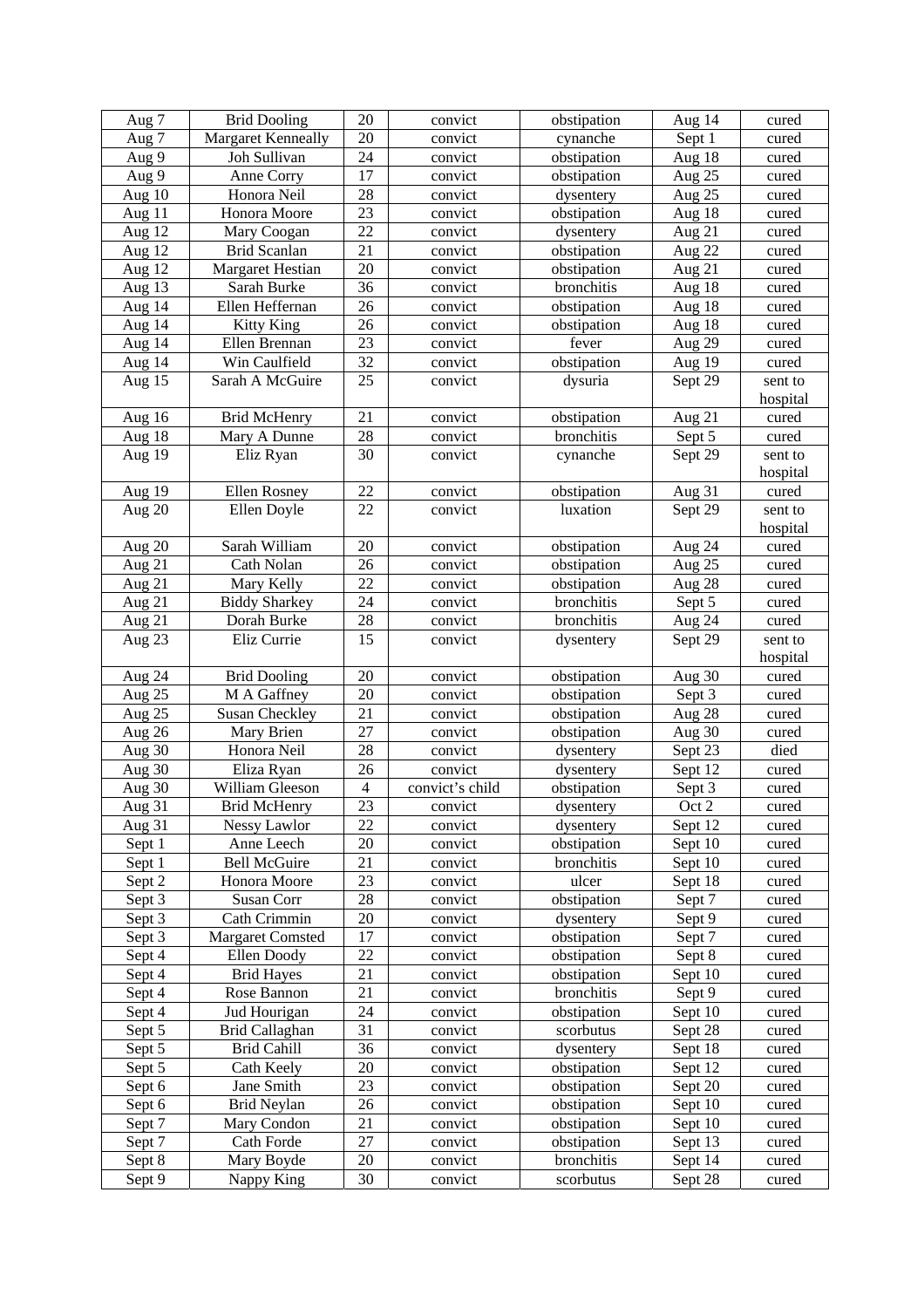| Aug 7            | <b>Brid Dooling</b>                    | 20             | convict            | obstipation               | Aug 14                             | cured          |
|------------------|----------------------------------------|----------------|--------------------|---------------------------|------------------------------------|----------------|
| Aug 7            | <b>Margaret Kenneally</b>              | 20             | convict            | cynanche                  | Sept 1                             | cured          |
| Aug 9            | Joh Sullivan                           | 24             | convict            | obstipation               | Aug 18                             | cured          |
| Aug 9            | Anne Corry                             | 17             | convict            | obstipation               | Aug 25                             | cured          |
| Aug $10$         | Honora Neil                            | 28             | convict            | dysentery                 | Aug 25                             | cured          |
| Aug 11           | Honora Moore                           | 23             | convict            | obstipation               | Aug $18$                           | cured          |
| Aug 12           | Mary Coogan                            | 22             | convict            | dysentery                 | Aug 21                             | cured          |
| Aug 12           | <b>Brid Scanlan</b>                    | 21             | convict            | obstipation               | Aug 22                             | cured          |
| Aug 12           | <b>Margaret Hestian</b>                | 20             | convict            | obstipation               | Aug 21                             | cured          |
| Aug 13           | Sarah Burke                            | 36             | convict            | bronchitis                | Aug 18                             | cured          |
| Aug 14           | Ellen Heffernan                        | 26             | convict            | obstipation               | Aug 18                             | cured          |
| Aug 14           | <b>Kitty King</b>                      | 26             | convict            | obstipation               | Aug $18$                           | cured          |
| Aug 14           | Ellen Brennan                          | 23             | convict            | fever                     | Aug 29                             | cured          |
| Aug 14           | Win Caulfield                          | 32             | convict            | obstipation               | $\frac{\text{Aug }19}{\text{Aug}}$ | cured          |
| Aug 15           | Sarah A McGuire                        | 25             | convict            | dysuria                   | Sept 29                            | sent to        |
|                  |                                        |                |                    |                           |                                    | hospital       |
| Aug 16           | <b>Brid McHenry</b>                    | 21             | convict            | obstipation               | Aug 21                             | cured          |
| Aug 18           | Mary A Dunne                           | 28             | convict            | bronchitis                | Sept 5                             | cured          |
| Aug 19           | Eliz Ryan                              | 30             | convict            | cynanche                  | Sept 29                            | sent to        |
|                  |                                        |                |                    |                           |                                    | hospital       |
| Aug 19           | Ellen Rosney                           | 22             | convict            | obstipation               | Aug 31                             | cured          |
| Aug 20           | Ellen Doyle                            | 22             | convict            | luxation                  | Sept 29                            | sent to        |
|                  |                                        |                |                    |                           |                                    | hospital       |
| Aug 20           | Sarah William                          | 20             | convict            | obstipation               | Aug 24                             | cured          |
| Aug 21           | Cath Nolan                             | 26             | convict            | obstipation               | Aug 25                             | cured          |
| Aug 21           | Mary Kelly                             | 22             | convict            | obstipation               | Aug 28                             | cured          |
| Aug 21           | <b>Biddy Sharkey</b>                   | 24             | convict            | bronchitis                | Sept 5                             | cured          |
| Aug 21           | Dorah Burke                            | 28             | convict            | bronchitis                | Aug 24                             | cured          |
| Aug 23           | Eliz Currie                            | 15             | convict            | dysentery                 | Sept 29                            | sent to        |
|                  |                                        |                |                    |                           |                                    | hospital       |
| Aug 24           | <b>Brid Dooling</b>                    | 20             | convict            | obstipation               | Aug 30                             | cured          |
| Aug 25           | M A Gaffney                            | 20             | convict            | obstipation               | Sept 3                             | cured          |
| Aug 25           | <b>Susan Checkley</b>                  | 21             | convict            | obstipation               | Aug 28                             | cured          |
| Aug 26           | Mary Brien                             | 27             | convict            | obstipation               | Aug 30                             | cured          |
| Aug 30           | Honora Neil                            | 28             | convict            | dysentery                 | Sept 23                            | died           |
| Aug 30           | Eliza Ryan                             | 26             | convict            | dysentery                 | Sept 12                            | cured          |
| Aug 30           | William Gleeson                        | $\overline{4}$ | convict's child    | obstipation               | Sept 3                             | cured          |
| Aug 31           | <b>Brid McHenry</b>                    | 23             | convict            | dysentery                 | Oct 2                              | cured          |
| Aug 31           | Nessy Lawlor                           | 22             | convict            | dysentery                 | Sept 12                            | cured          |
| Sept 1           | Anne Leech                             | 20             | convict            | obstipation               | Sept 10                            | cured          |
| Sept 1           | <b>Bell McGuire</b>                    | 21             | convict            | bronchitis                | Sept 10                            | cured          |
| Sept 2           | Honora Moore                           | 23             | convict            | ulcer                     | Sept 18                            | cured          |
| Sept 3           | Susan Corr<br>Cath Crimmin             | 28<br>20       | convict            | obstipation               | Sept 7                             | cured          |
| Sept 3           |                                        | 17             | convict            | dysentery                 | Sept 9                             | cured          |
| Sept 3           | <b>Margaret Comsted</b><br>Ellen Doody | 22             | convict            | obstipation               | Sept 7                             | cured          |
| Sept 4           |                                        | 21             | convict            | obstipation               | Sept 8                             | cured          |
| Sept 4<br>Sept 4 | <b>Brid Hayes</b><br>Rose Bannon       | 21             | convict<br>convict | obstipation<br>bronchitis | Sept 10<br>Sept 9                  | cured<br>cured |
| Sept 4           | Jud Hourigan                           | 24             |                    | obstipation               |                                    |                |
| Sept 5           | Brid Callaghan                         | 31             | convict<br>convict | scorbutus                 | Sept 10<br>Sept 28                 | cured<br>cured |
| Sept 5           | <b>Brid Cahill</b>                     | 36             | convict            | dysentery                 | Sept 18                            | cured          |
| Sept 5           | Cath Keely                             | 20             | convict            | obstipation               | Sept 12                            | cured          |
| Sept 6           | Jane Smith                             | 23             | convict            | obstipation               | Sept 20                            | cured          |
| Sept 6           | Brid Neylan                            | 26             | convict            | obstipation               | Sept 10                            | cured          |
| Sept 7           | Mary Condon                            | 21             | convict            | obstipation               | Sept 10                            | cured          |
| Sept 7           | Cath Forde                             | 27             | convict            | obstipation               | Sept 13                            | cured          |
| Sept 8           | Mary Boyde                             | 20             | convict            | bronchitis                | Sept 14                            | cured          |
| Sept 9           | Nappy King                             | 30             | convict            | scorbutus                 | Sept 28                            | cured          |
|                  |                                        |                |                    |                           |                                    |                |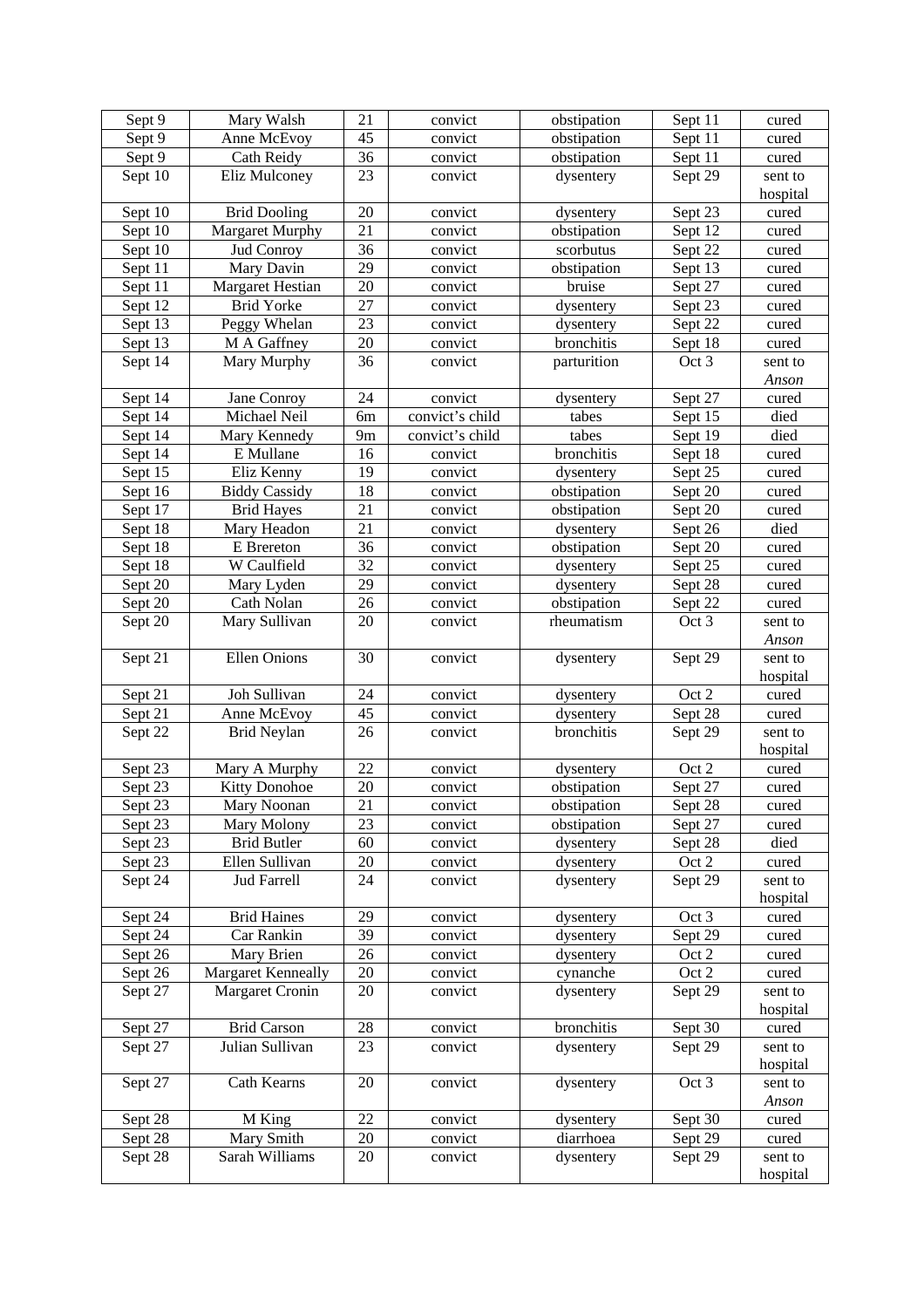| Sept 9  | Mary Walsh              | 21              | convict         | obstipation | Sept 11              | cured    |
|---------|-------------------------|-----------------|-----------------|-------------|----------------------|----------|
| Sept 9  | Anne McEvoy             | 45              | convict         | obstipation | Sept 11              | cured    |
| Sept 9  | Cath Reidy              | 36              | convict         | obstipation | Sept 11              | cured    |
| Sept 10 | Eliz Mulconey           | 23              | convict         | dysentery   | Sept $2\overline{9}$ | sent to  |
|         |                         |                 |                 |             |                      | hospital |
| Sept 10 | <b>Brid Dooling</b>     | 20              | convict         | dysentery   | Sept 23              | cured    |
| Sept 10 | Margaret Murphy         | 21              | convict         | obstipation | Sept 12              | cured    |
| Sept 10 | Jud Conroy              | 36              | convict         | scorbutus   | Sept 22              | cured    |
| Sept 11 | Mary Davin              | 29              | convict         | obstipation | Sept 13              | cured    |
| Sept 11 | <b>Margaret Hestian</b> | 20              | convict         | bruise      | Sept 27              | cured    |
| Sept 12 | <b>Brid Yorke</b>       | 27              | convict         | dysentery   | Sept 23              | cured    |
| Sept 13 | Peggy Whelan            | 23              | convict         | dysentery   | Sept 22              | cured    |
| Sept 13 | M A Gaffney             | 20              | convict         | bronchitis  | Sept 18              | cured    |
| Sept 14 | Mary Murphy             | 36              | convict         | parturition | Oct 3                | sent to  |
|         |                         |                 |                 |             |                      | Anson    |
| Sept 14 | Jane Conroy             | 24              | convict         | dysentery   | Sept 27              | cured    |
| Sept 14 | Michael Neil            | 6m              | convict's child | tabes       | Sept 15              | died     |
| Sept 14 | Mary Kennedy            | 9m              | convict's child | tabes       | Sept 19              | died     |
| Sept 14 | E Mullane               | 16              | convict         | bronchitis  | Sept 18              | cured    |
| Sept 15 | Eliz Kenny              | 19              | convict         | dysentery   | Sept 25              | cured    |
| Sept 16 | <b>Biddy Cassidy</b>    | 18              | convict         | obstipation | Sept 20              | cured    |
| Sept 17 | <b>Brid Hayes</b>       | 21              | convict         | obstipation | Sept 20              | cured    |
| Sept 18 | Mary Headon             | 21              | convict         | dysentery   | Sept 26              | died     |
| Sept 18 | E Brereton              | 36              | convict         | obstipation | Sept 20              | cured    |
| Sept 18 | W Caulfield             | 32              | convict         | dysentery   | Sept 25              | cured    |
| Sept 20 | Mary Lyden              | 29              | convict         | dysentery   | Sept 28              | cured    |
| Sept 20 | Cath Nolan              | 26              | convict         | obstipation | Sept 22              | cured    |
| Sept 20 | Mary Sullivan           | 20              | convict         | rheumatism  | Oct 3                | sent to  |
|         |                         |                 |                 |             |                      | Anson    |
| Sept 21 | Ellen Onions            | 30              | convict         | dysentery   | Sept 29              | sent to  |
|         |                         |                 |                 |             |                      | hospital |
| Sept 21 | Joh Sullivan            | 24              | convict         | dysentery   | Oct 2                | cured    |
| Sept 21 | Anne McEvoy             | 45              | convict         | dysentery   | Sept 28              | cured    |
| Sept 22 | <b>Brid Neylan</b>      | 26              | convict         | bronchitis  | Sept 29              | sent to  |
|         |                         |                 |                 |             |                      | hospital |
| Sept 23 | Mary A Murphy           | 22              | convict         | dysentery   | Oct 2                | cured    |
| Sept 23 | <b>Kitty Donohoe</b>    | 20              | convict         | obstipation | Sept 27              | cured    |
| Sept 23 | Mary Noonan             | $\overline{21}$ | convict         | obstipation | Sept 28              | cured    |
| Sept 23 | Mary Molony             | 23              | convict         | obstipation | Sept 27              | cured    |
| Sept 23 | <b>Brid Butler</b>      | 60              | convict         | dysentery   | Sept 28              | died     |
| Sept 23 | Ellen Sullivan          | 20              | convict         | dysentery   | Oct 2                | cured    |
| Sept 24 | <b>Jud Farrell</b>      | 24              | convict         | dysentery   | Sept 29              | sent to  |
|         |                         |                 |                 |             |                      | hospital |
| Sept 24 | <b>Brid Haines</b>      | 29              | convict         | dysentery   | Oct 3                | cured    |
| Sept 24 | Car Rankin              | 39              | convict         | dysentery   | Sept 29              | cured    |
| Sept 26 | Mary Brien              | 26              | convict         | dysentery   | Oct 2                | cured    |
| Sept 26 | Margaret Kenneally      | 20              | convict         | cynanche    | Oct 2                | cured    |
| Sept 27 | Margaret Cronin         | 20              | convict         | dysentery   | Sept 29              | sent to  |
|         |                         |                 |                 |             |                      | hospital |
| Sept 27 | <b>Brid Carson</b>      | 28              | convict         | bronchitis  | Sept 30              | cured    |
| Sept 27 | Julian Sullivan         | 23              | convict         | dysentery   | Sept 29              | sent to  |
|         |                         |                 |                 |             |                      | hospital |
| Sept 27 | Cath Kearns             | 20              | convict         | dysentery   | Oct 3                | sent to  |
|         |                         |                 |                 |             |                      | Anson    |
| Sept 28 | M King                  | 22              | convict         | dysentery   | Sept 30              | cured    |
| Sept 28 | Mary Smith              | 20              | convict         | diarrhoea   | Sept 29              | cured    |
| Sept 28 | Sarah Williams          | 20              | convict         | dysentery   | Sept 29              | sent to  |
|         |                         |                 |                 |             |                      | hospital |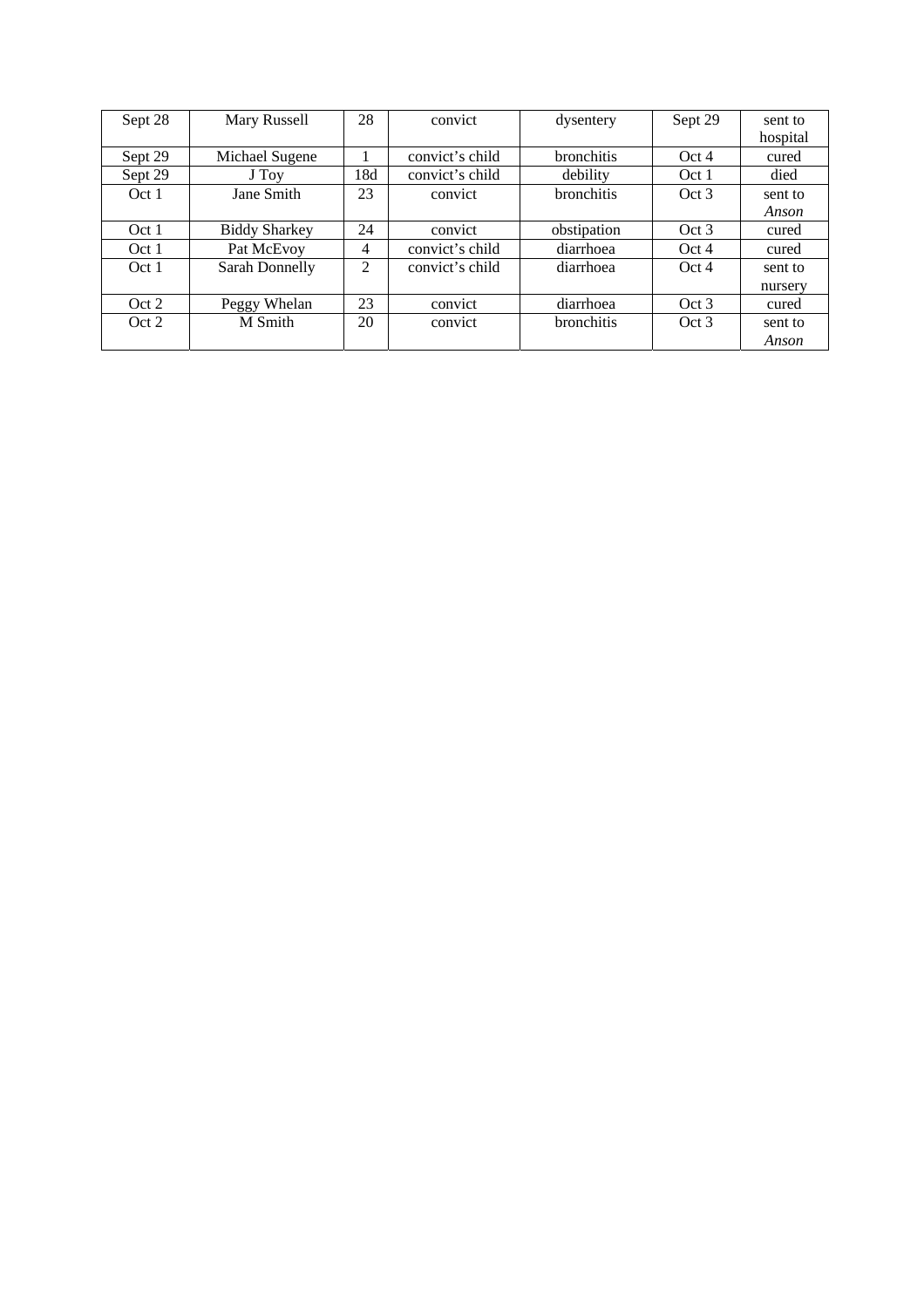| Sept 28          | Mary Russell         | 28             | convict         | dysentery         | Sept 29          | sent to  |
|------------------|----------------------|----------------|-----------------|-------------------|------------------|----------|
|                  |                      |                |                 |                   |                  | hospital |
| Sept 29          | Michael Sugene       |                | convict's child | bronchitis        | Oct 4            | cured    |
| Sept 29          | J Tov                | 18d            | convict's child | debility          | Oct <sub>1</sub> | died     |
| Oct <sub>1</sub> | <b>Jane Smith</b>    | 23             | convict         | <b>bronchitis</b> | Oct 3            | sent to  |
|                  |                      |                |                 |                   |                  | Anson    |
| Oct <sub>1</sub> | <b>Biddy Sharkey</b> | 24             | convict         | obstipation       | Oct 3            | cured    |
| Oct <sub>1</sub> | Pat McEvoy           | $\overline{4}$ | convict's child | diarrhoea         | Oct 4            | cured    |
| Oct <sub>1</sub> | Sarah Donnelly       | $\overline{2}$ | convict's child | diarrhoea         | Oct 4            | sent to  |
|                  |                      |                |                 |                   |                  | nursery  |
| Oct 2            | Peggy Whelan         | 23             | convict         | diarrhoea         | Oct 3            | cured    |
| Oct 2            | M Smith              | 20             | convict         | <b>bronchitis</b> | Oct 3            | sent to  |
|                  |                      |                |                 |                   |                  | Anson    |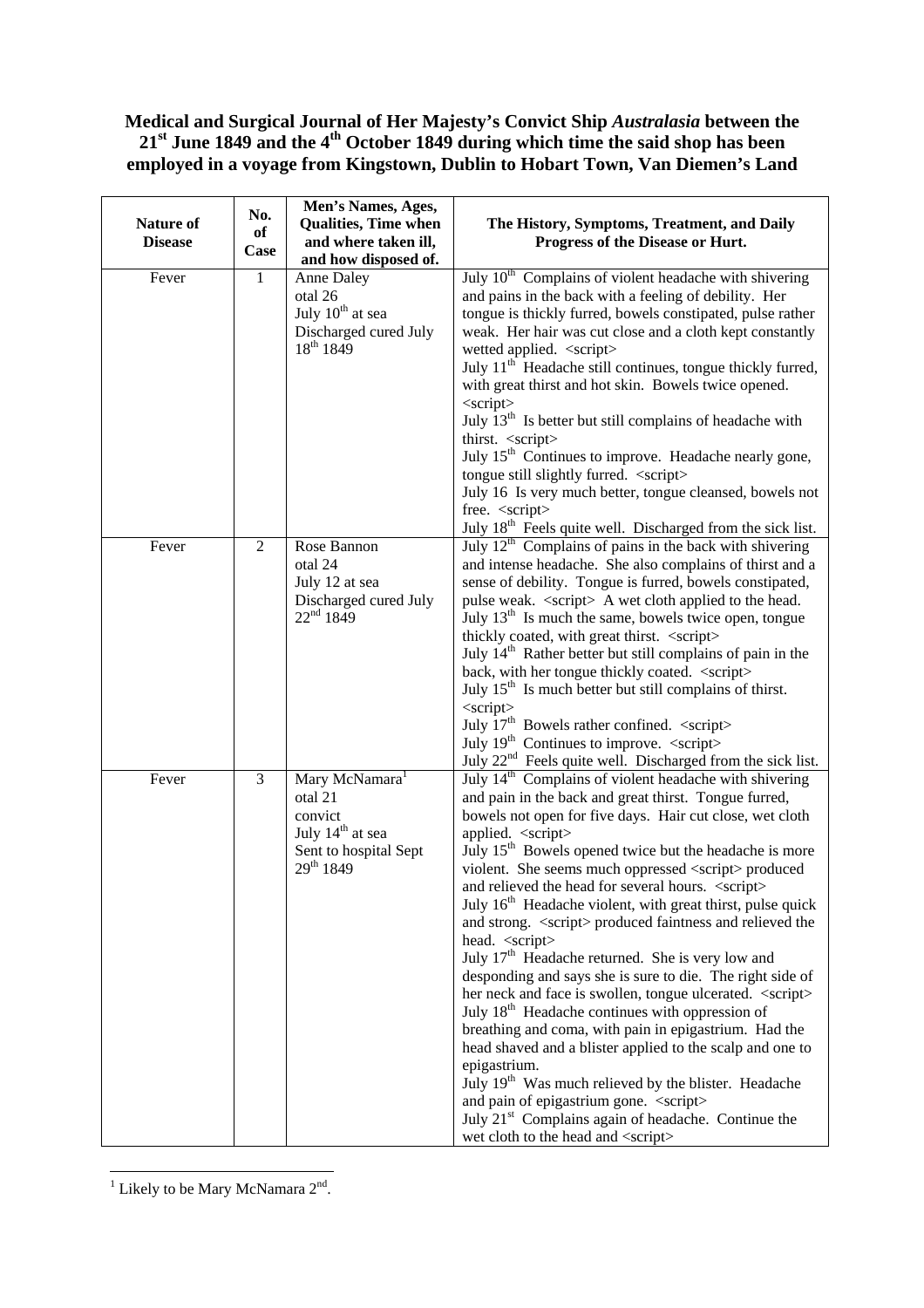## **Medical and Surgical Journal of Her Majesty's Convict Ship** *Australasia* **between the 21st June 1849 and the 4th October 1849 during which time the said shop has been employed in a voyage from Kingstown, Dublin to Hobart Town, Van Diemen's Land**

| Nature of<br><b>Disease</b> | No.<br>of<br>Case | Men's Names, Ages,<br><b>Qualities, Time when</b><br>and where taken ill,<br>and how disposed of.       | The History, Symptoms, Treatment, and Daily<br>Progress of the Disease or Hurt.                                                                                                                                                                                                            |
|-----------------------------|-------------------|---------------------------------------------------------------------------------------------------------|--------------------------------------------------------------------------------------------------------------------------------------------------------------------------------------------------------------------------------------------------------------------------------------------|
| Fever                       | $\mathbf{1}$      | <b>Anne Daley</b><br>otal 26<br>July 10 <sup>th</sup> at sea<br>Discharged cured July<br>$18^{th}$ 1849 | July 10 <sup>th</sup> Complains of violent headache with shivering<br>and pains in the back with a feeling of debility. Her<br>tongue is thickly furred, bowels constipated, pulse rather<br>weak. Her hair was cut close and a cloth kept constantly<br>wetted applied. <script></script> |

<sup>&</sup>lt;sup>1</sup> Likely to be Mary McNamara  $2<sup>nd</sup>$ .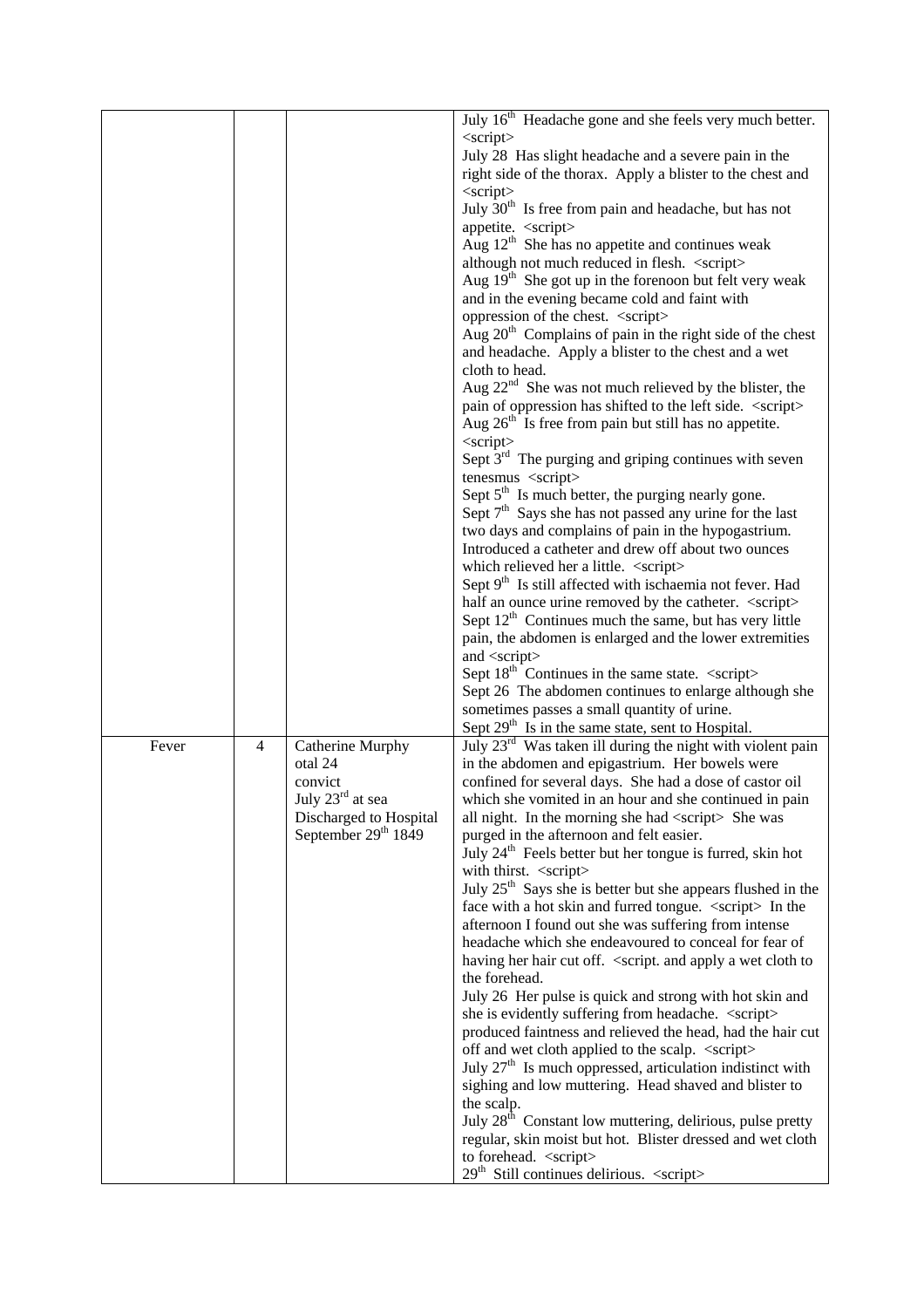|  |  |  | July 16 <sup>th</sup> Headache gone and she feels very much better.                      |
|--|--|--|------------------------------------------------------------------------------------------|
|  |  |  | $\langle$ script $\rangle$                                                               |
|  |  |  | July 28 Has slight headache and a severe pain in the                                     |
|  |  |  | right side of the thorax. Apply a blister to the chest and<br>$\langle$ script $\rangle$ |
|  |  |  | July $30th$ Is free from pain and headache, but has not                                  |
|  |  |  | appetite. <script></script>                                                              |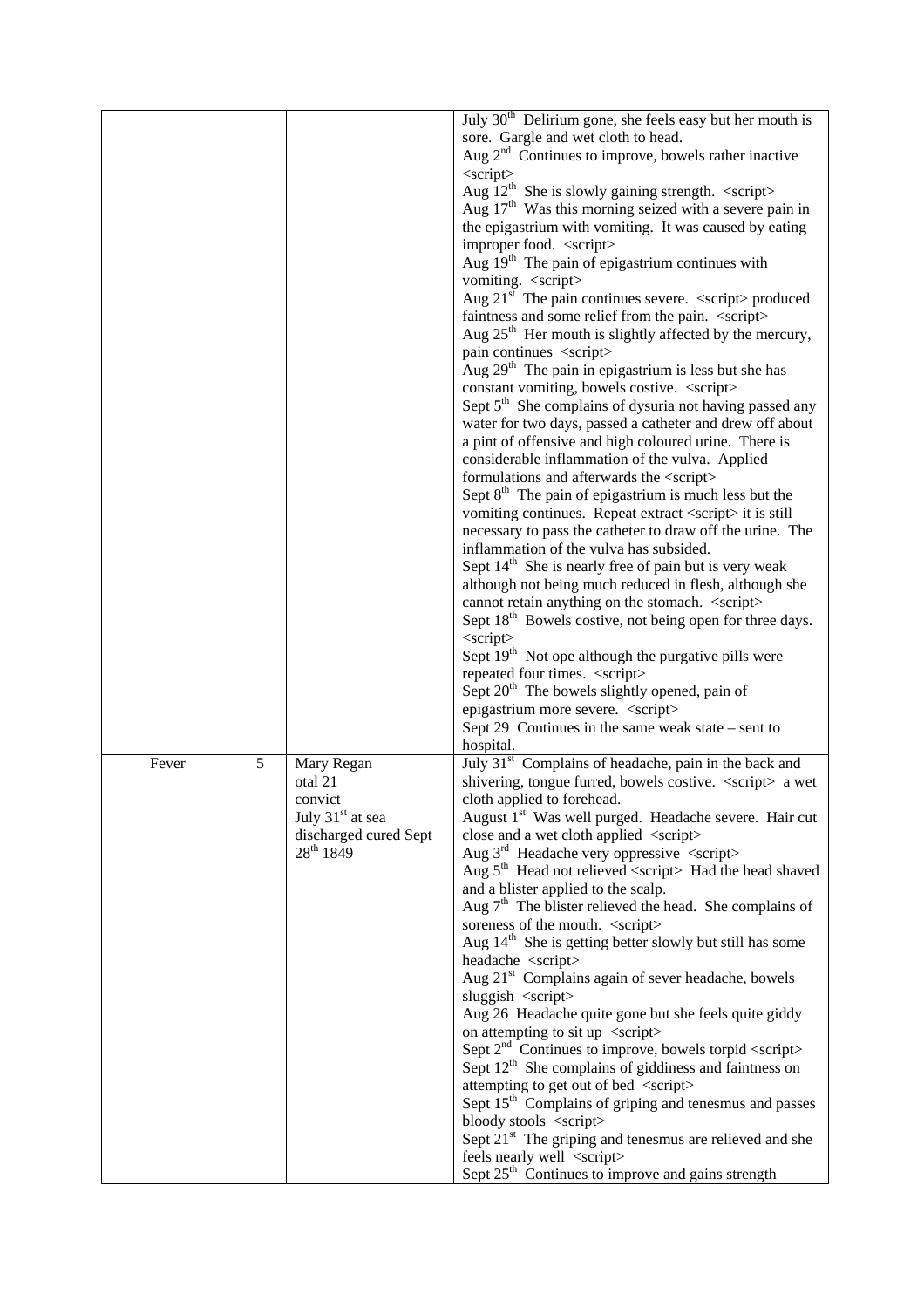|  |  |  | July $30th$ Delirium gone, she feels easy but her mouth is                           |
|--|--|--|--------------------------------------------------------------------------------------|
|  |  |  | sore. Gargle and wet cloth to head.                                                  |
|  |  |  | Aug $2nd$ Continues to improve, bowels rather inactive<br>$\langle$ script $\rangle$ |
|  |  |  | Aug $12^{th}$ She is slowly gaining strength. <script></script>                      |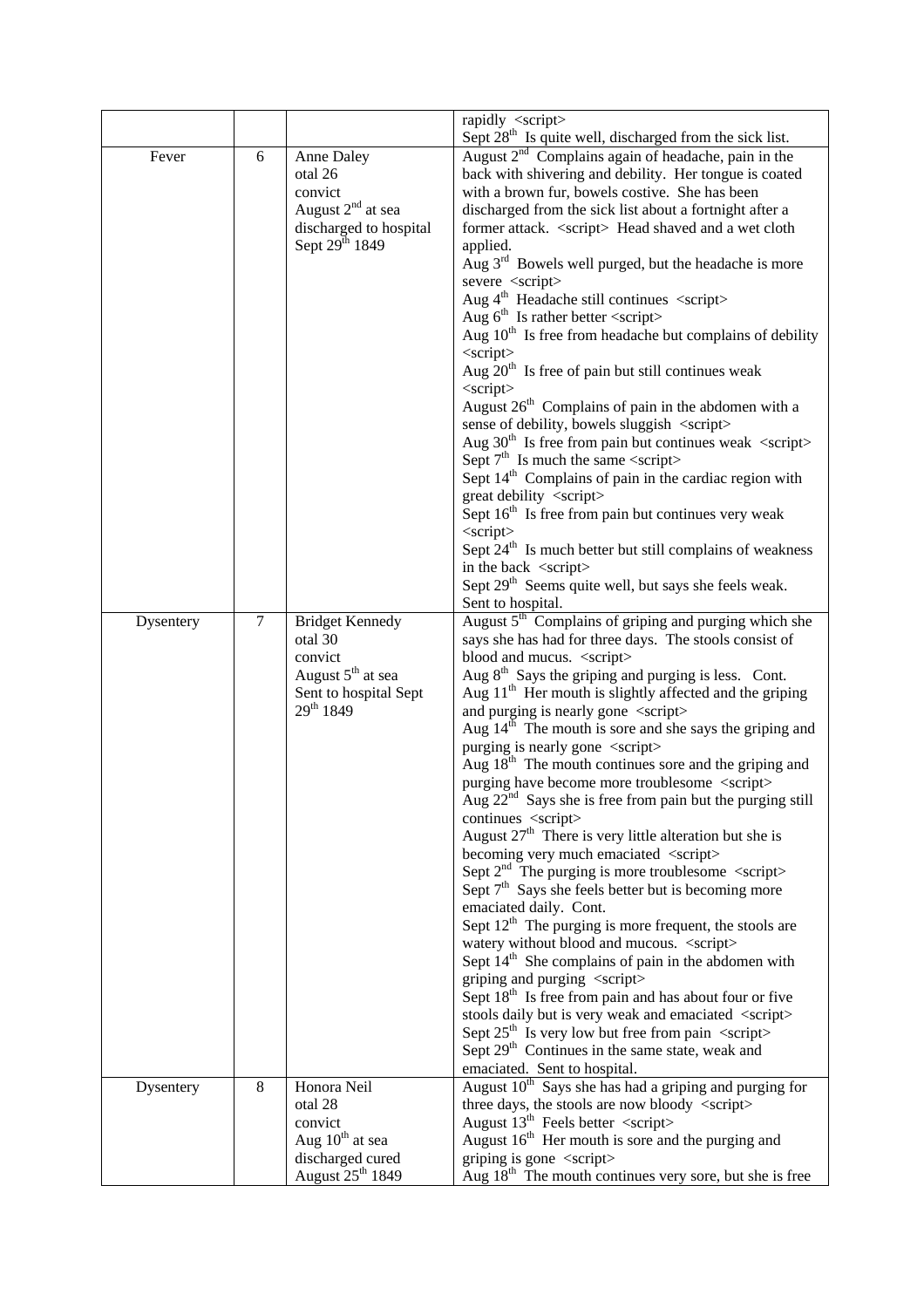|  |  |  | rapidly <script></script> |
|--|--|--|---------------------------|
|--|--|--|---------------------------|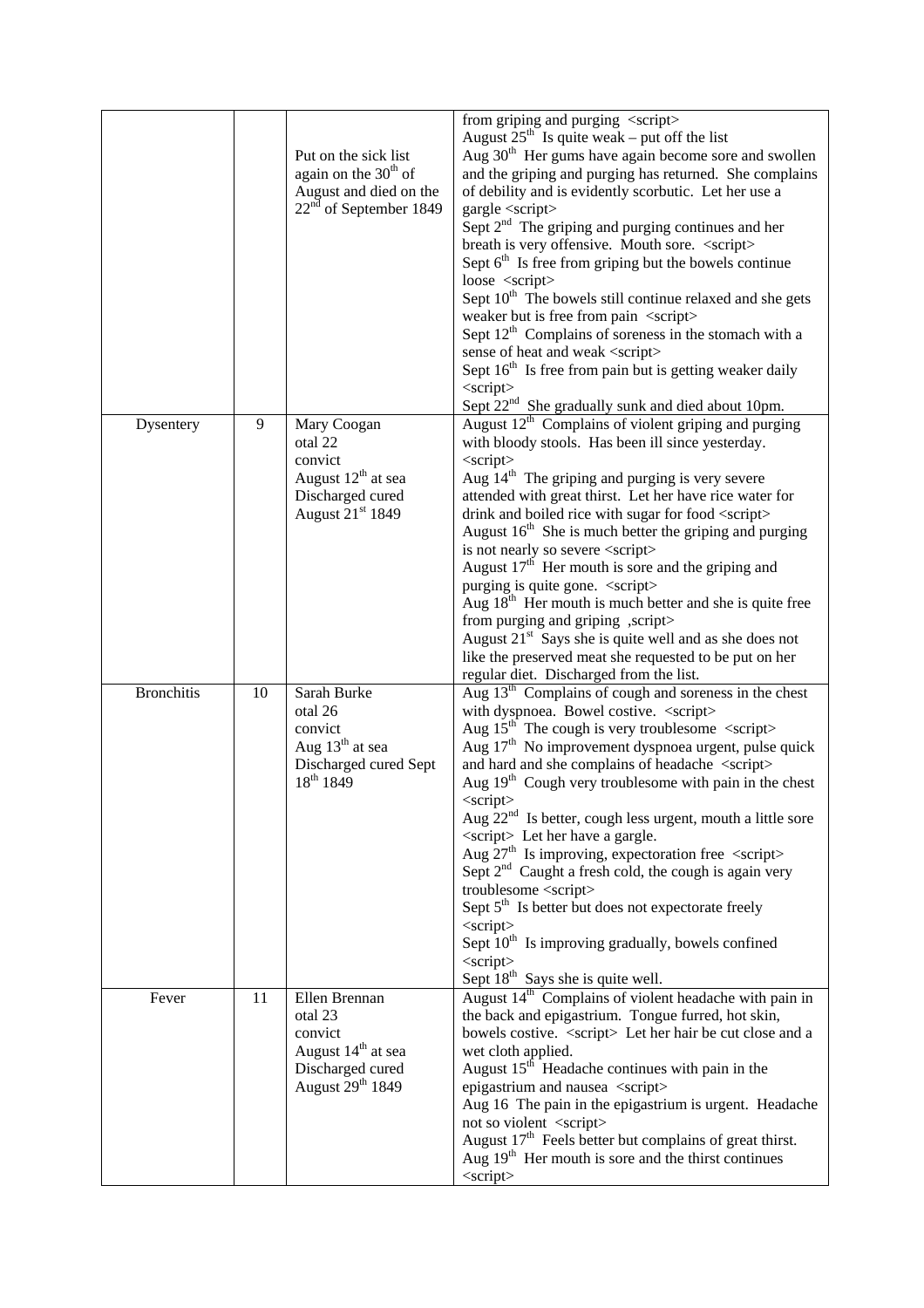|  |  | Put on the sick list<br>again on the $30th$ of<br>August and died on the<br>$22nd$ of September 1849 | from griping and purging <script></script> |
|--|--|------------------------------------------------------------------------------------------------------|--------------------------------------------|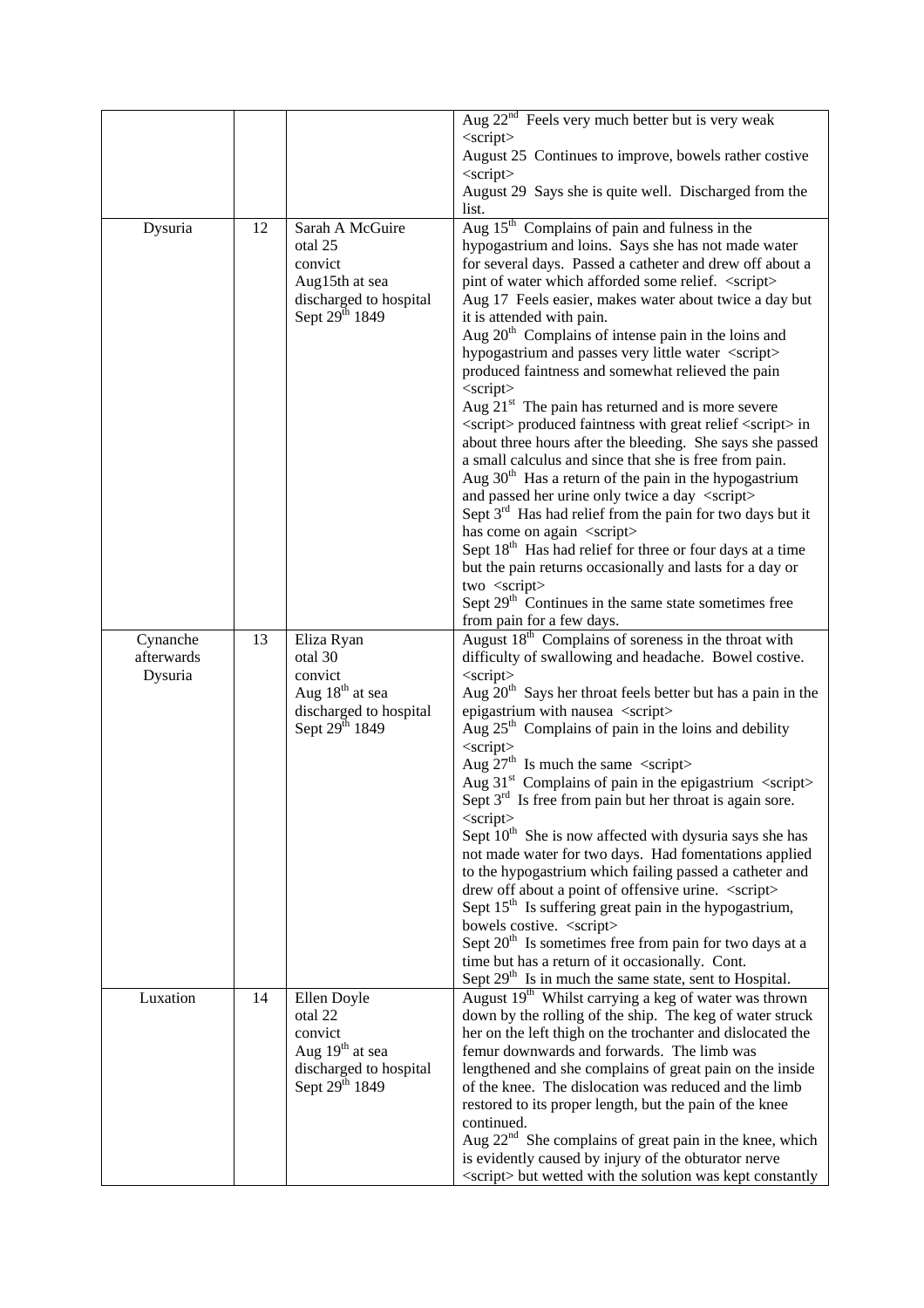|         |    |                            | Aug 22 <sup>nd</sup> Feels very much better but is very weak                                                     |
|---------|----|----------------------------|------------------------------------------------------------------------------------------------------------------|
|         |    |                            | $\langle$ script $\rangle$<br>August 25 Continues to improve, bowels rather costive                              |
|         |    |                            | $\langle$ script $\rangle$                                                                                       |
|         |    |                            | August 29 Says she is quite well. Discharged from the                                                            |
|         |    |                            | list.                                                                                                            |
| Dysuria | 12 | Sarah A McGuire<br>otal 25 | Aug 15 <sup>th</sup> Complains of pain and fulness in the<br>hypogastrium and loins. Says she has not made water |
|         |    | convict                    | for several days. Passed a catheter and drew off about a                                                         |
|         |    | Aug15th at sea             | pint of water which afforded some relief. <script></script>                                                      |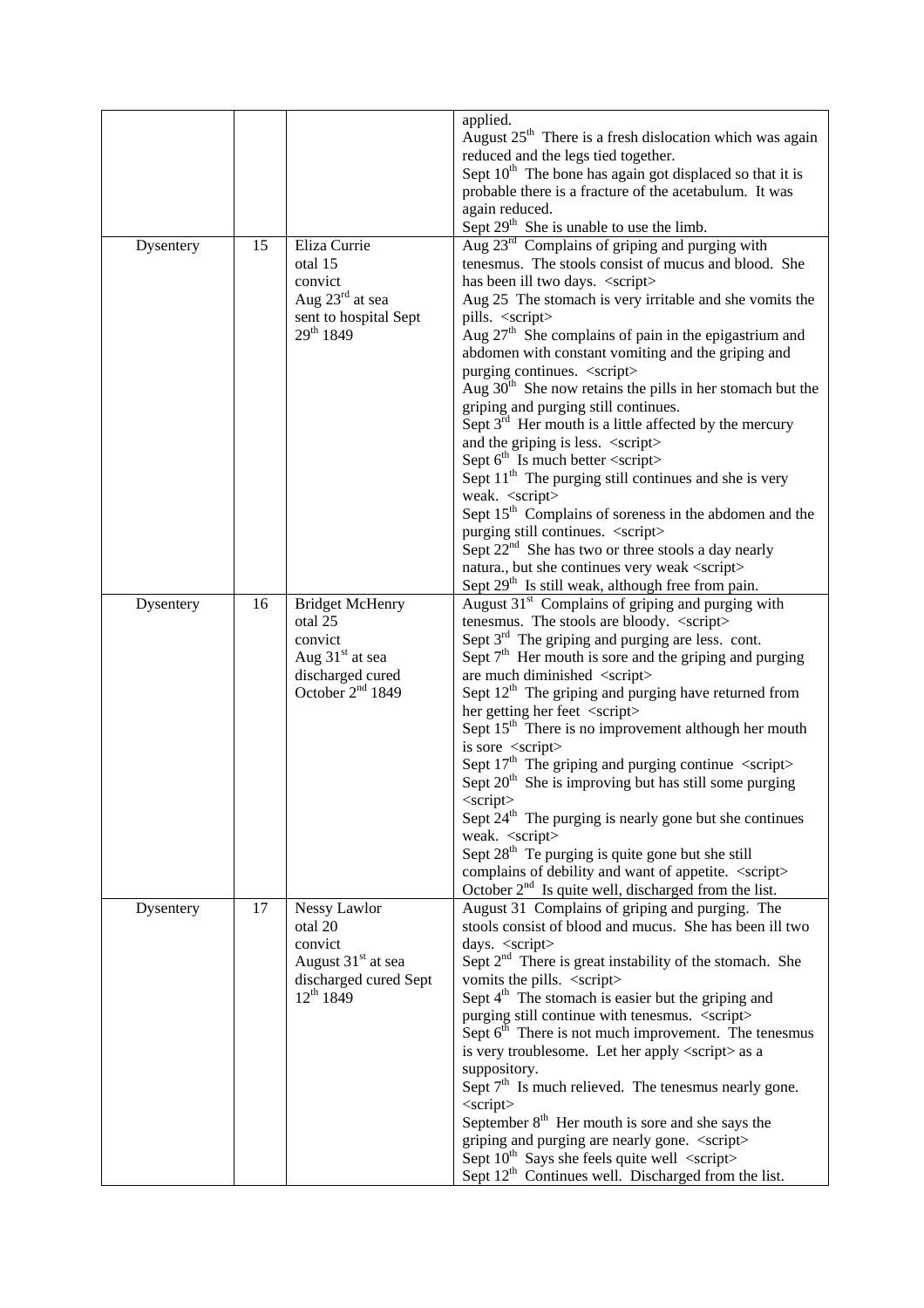|           |    |              | applied.                                                   |
|-----------|----|--------------|------------------------------------------------------------|
|           |    |              | August $25th$ There is a fresh dislocation which was again |
|           |    |              | reduced and the legs tied together.                        |
|           |    |              | Sept $10th$ The bone has again got displaced so that it is |
|           |    |              | probable there is a fracture of the acetabulum. It was     |
|           |    |              | again reduced.                                             |
|           |    |              | Sept 29 <sup>th</sup> She is unable to use the limb.       |
|           | 15 | Eliza Currie | Aug 23 <sup>rd</sup> Complains of griping and purging with |
| Dysentery |    |              | tenesmus. The stools consist of mucus and blood. She       |
|           |    | otal 15      |                                                            |
|           |    | convict      | has been ill two days. <script></script>                   |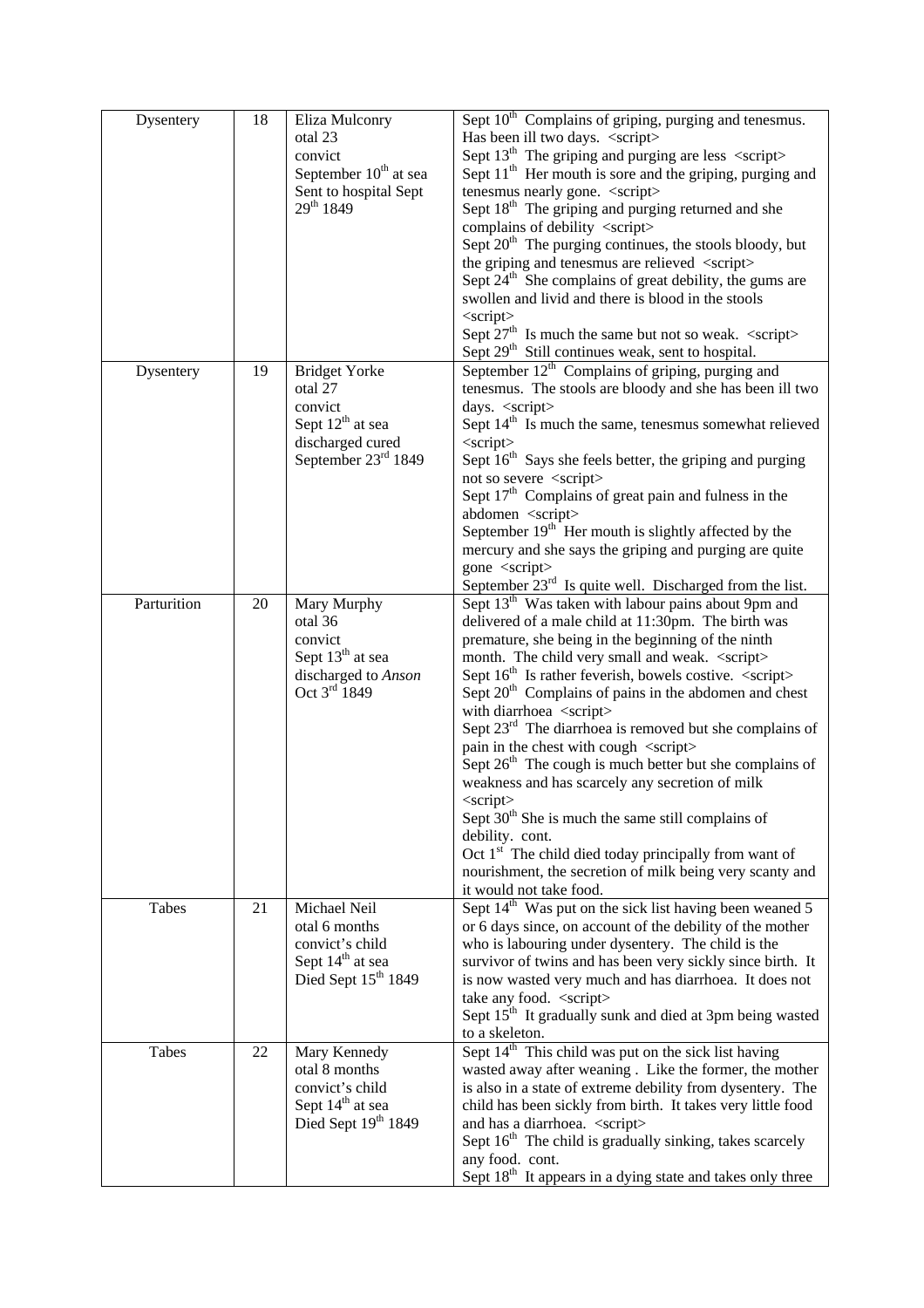| Dysentery | 18 | Eliza Mulconry<br>otal 23<br>convict<br>September 10 <sup>th</sup> at sea<br>Sent to hospital Sept<br>29th 1849 | Sept 10 <sup>th</sup> Complains of griping, purging and tenesmus.<br>Has been ill two days. <script></script> |
|-----------|----|-----------------------------------------------------------------------------------------------------------------|---------------------------------------------------------------------------------------------------------------|
|-----------|----|-----------------------------------------------------------------------------------------------------------------|---------------------------------------------------------------------------------------------------------------|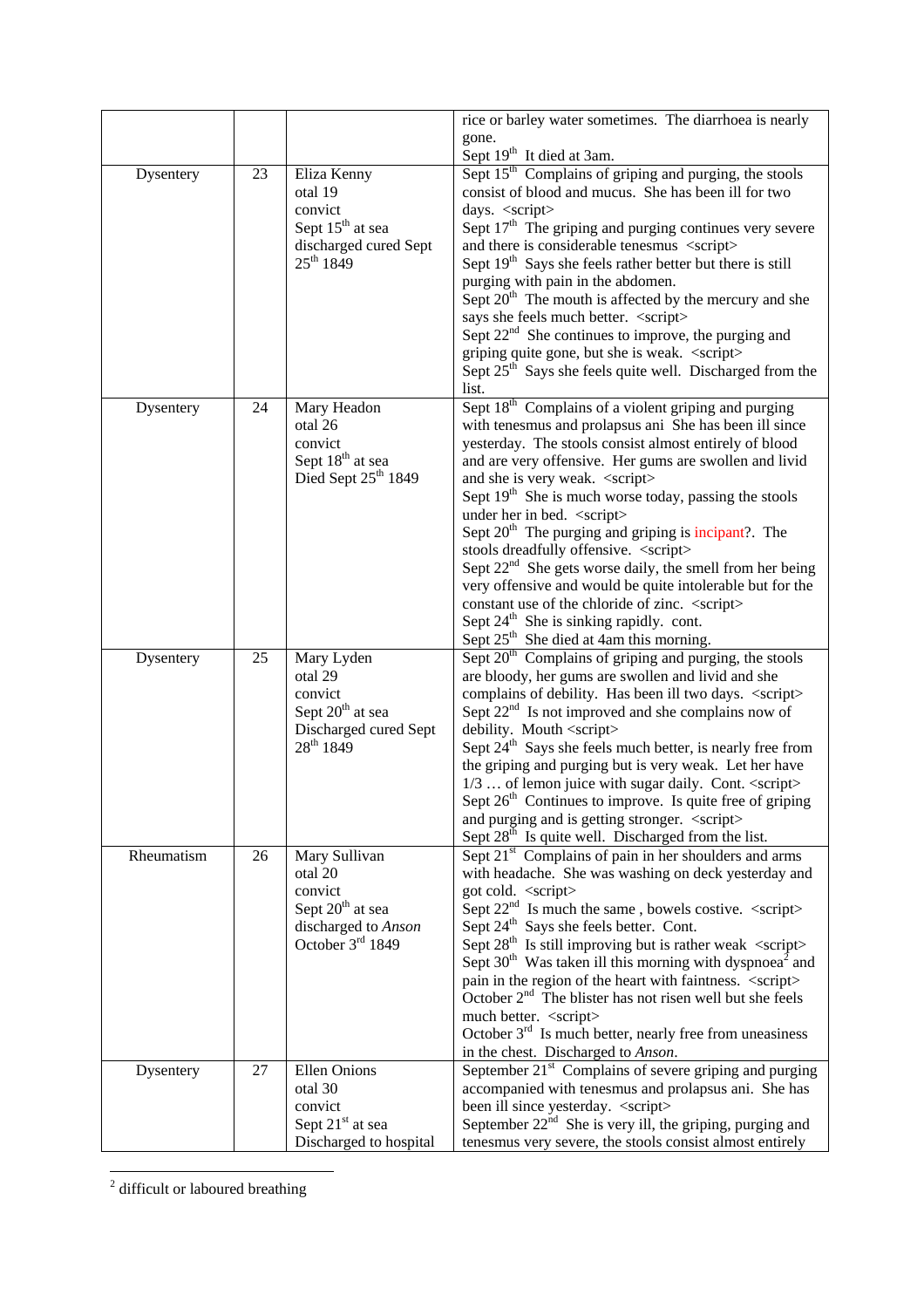|           |    |                                                                                                              | rice or barley water sometimes. The diarrhoea is nearly<br>gone.<br>Sept 19 <sup>th</sup> It died at 3am.                                             |
|-----------|----|--------------------------------------------------------------------------------------------------------------|-------------------------------------------------------------------------------------------------------------------------------------------------------|
| Dysentery | 23 | Eliza Kenny<br>otal 19<br>convict<br>Sept 15 <sup>th</sup> at sea<br>discharged cured Sept<br>$25^{th} 1849$ | Sept 15 <sup>th</sup> Complains of griping and purging, the stools<br>consist of blood and mucus. She has been ill for two<br>days. <script></script> |

<sup>2</sup> difficult or laboured breathing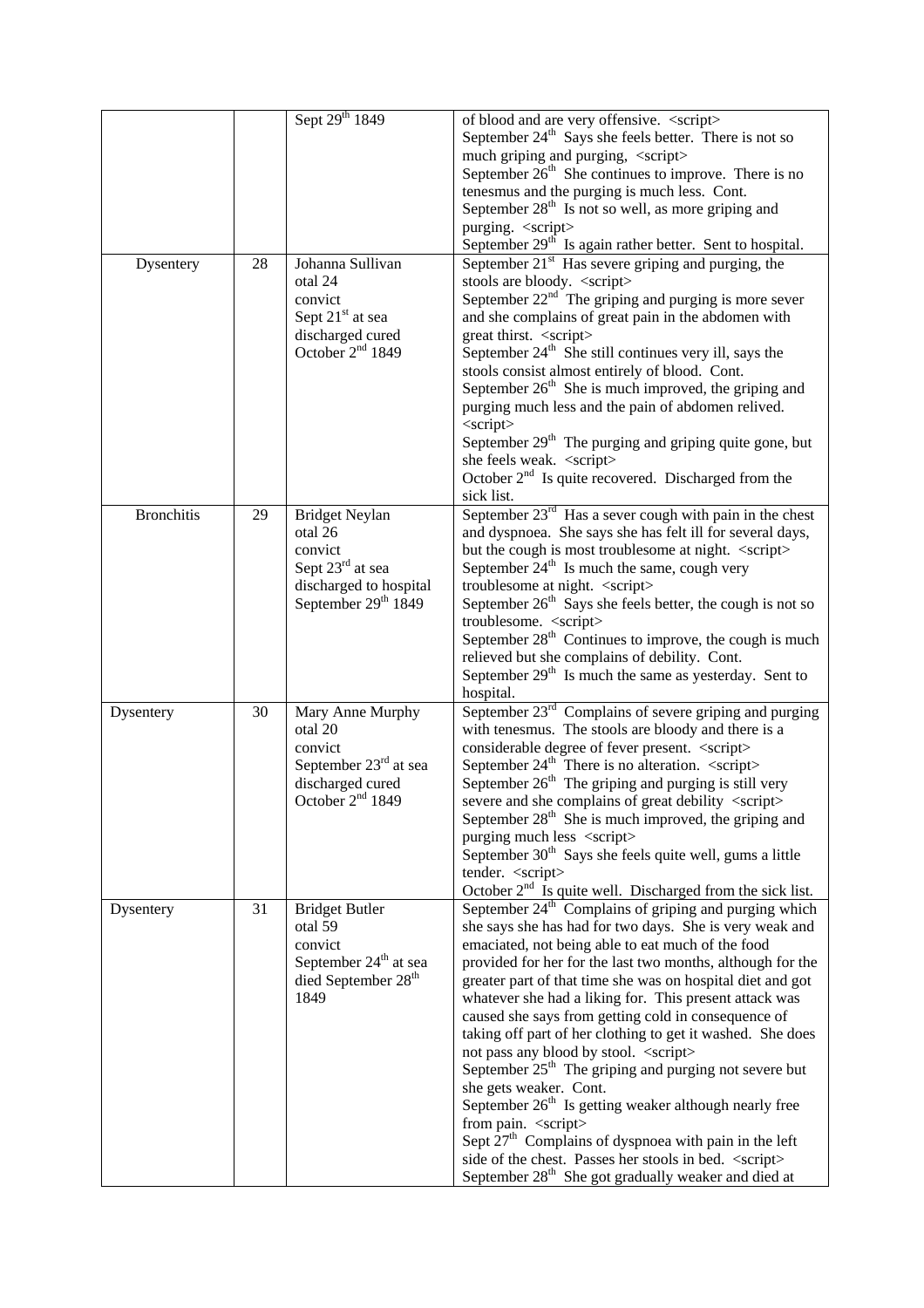|  |  | Sept 29 <sup>th</sup> 1849 | of blood and are very offensive. <script></script> |
|--|--|----------------------------|----------------------------------------------------|
|--|--|----------------------------|----------------------------------------------------|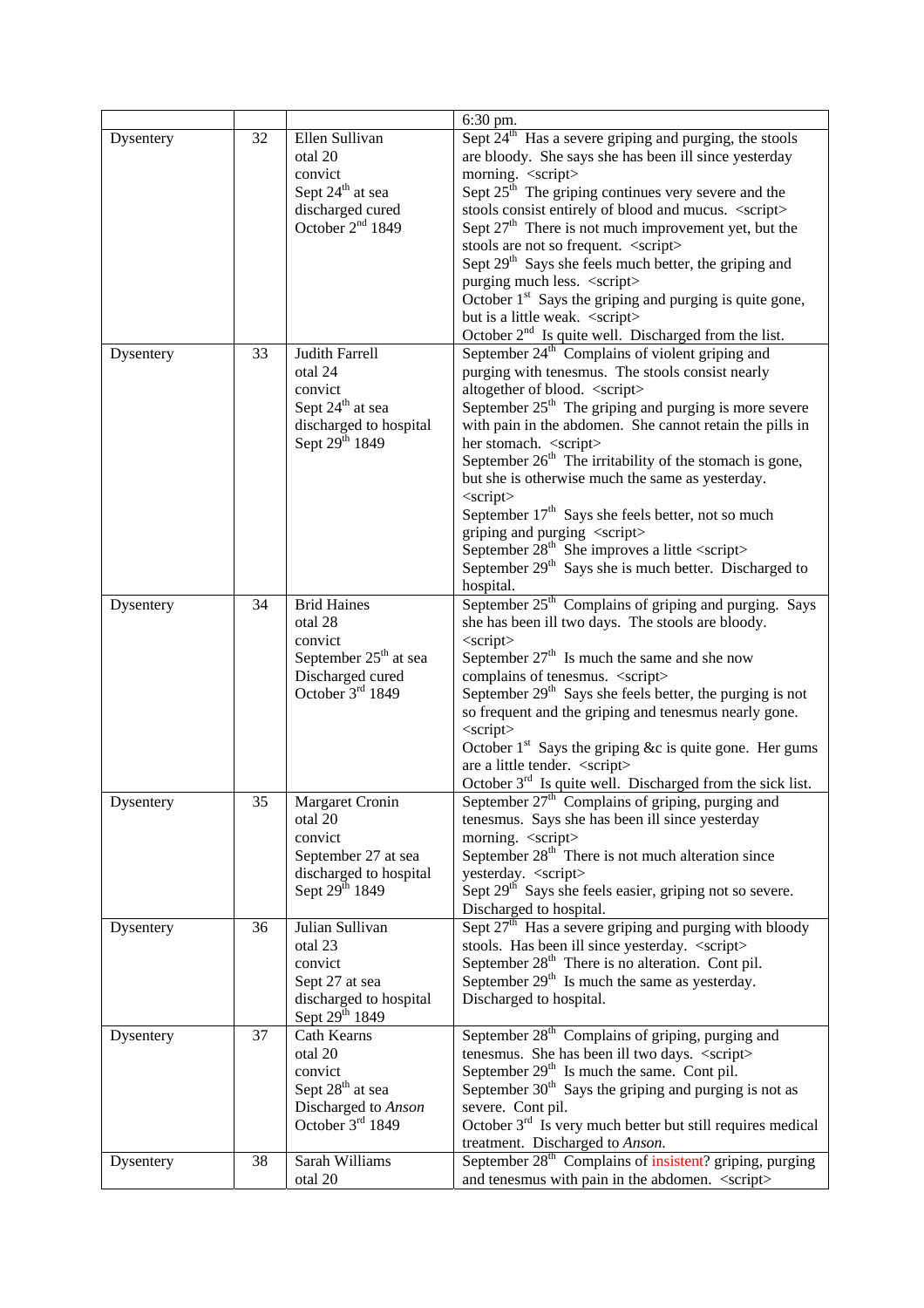|           |    |                                                                                                                          | 6:30 pm.                                                                                                                                        |  |  |  |
|-----------|----|--------------------------------------------------------------------------------------------------------------------------|-------------------------------------------------------------------------------------------------------------------------------------------------|--|--|--|
| Dysentery | 32 | Ellen Sullivan<br>otal 20<br>convict<br>Sept 24 <sup>th</sup> at sea<br>discharged cured<br>October 2 <sup>nd</sup> 1849 | Sept $24th$ Has a severe griping and purging, the stools<br>are bloody. She says she has been ill since yesterday<br>morning. <script></script> |  |  |  |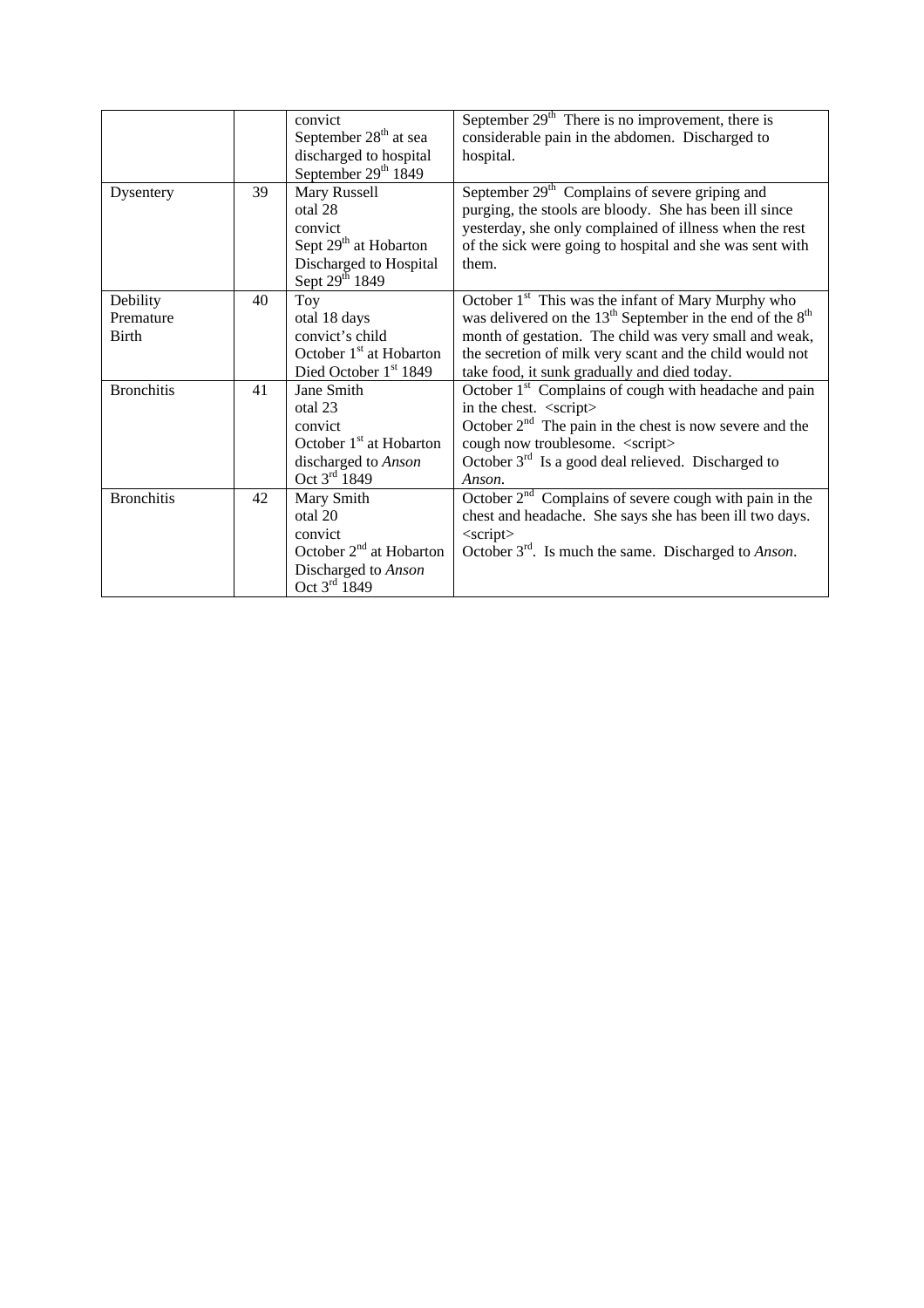|                   |    | convict                           | September $29th$ There is no improvement, there is                |
|-------------------|----|-----------------------------------|-------------------------------------------------------------------|
|                   |    | September 28 <sup>th</sup> at sea | considerable pain in the abdomen. Discharged to                   |
|                   |    | discharged to hospital            | hospital.                                                         |
|                   |    | September 29th 1849               |                                                                   |
| Dysentery         | 39 | Mary Russell                      | September $29th$ Complains of severe griping and                  |
|                   |    | otal 28                           | purging, the stools are bloody. She has been ill since            |
|                   |    | convict                           | yesterday, she only complained of illness when the rest           |
|                   |    | Sept 29 <sup>th</sup> at Hobarton | of the sick were going to hospital and she was sent with          |
|                   |    | Discharged to Hospital            | them.                                                             |
|                   |    | Sept 29 <sup>th</sup> 1849        |                                                                   |
| Debility          | 40 | Toy                               | October 1 <sup>st</sup> This was the infant of Mary Murphy who    |
| Premature         |    | otal 18 days                      | was delivered on the $13th$ September in the end of the $8th$     |
| <b>Birth</b>      |    | convict's child                   | month of gestation. The child was very small and weak,            |
|                   |    | October $1st$ at Hobarton         | the secretion of milk very scant and the child would not          |
|                   |    | Died October 1st 1849             | take food, it sunk gradually and died today.                      |
| <b>Bronchitis</b> | 41 | Jane Smith                        | October 1 <sup>st</sup> Complains of cough with headache and pain |
|                   |    | otal 23                           | in the chest. <script></script>                                   |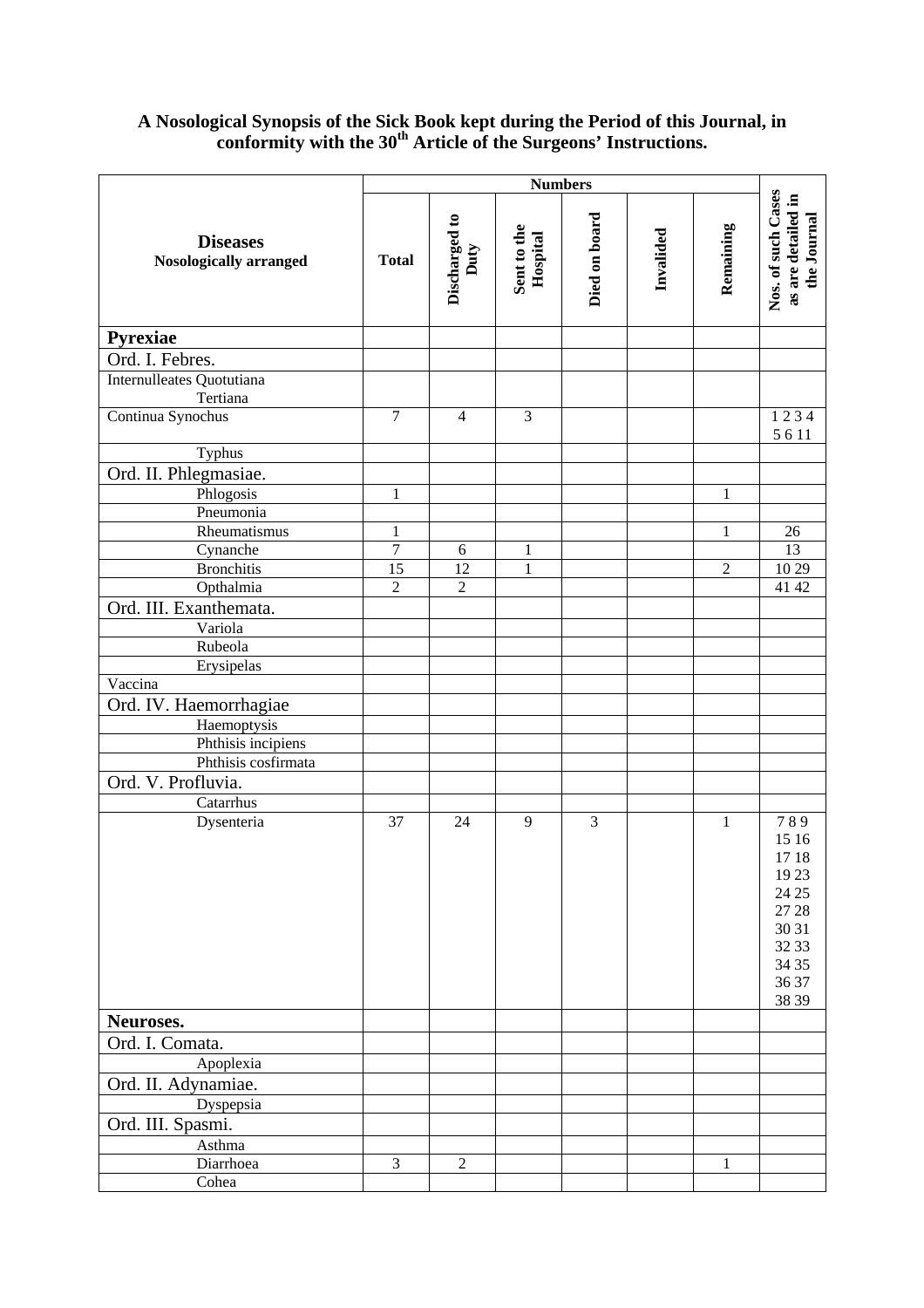## **A Nosological Synopsis of the Sick Book kept during the Period of this Journal, in conformity with the 30th Article of the Surgeons' Instructions.**

|                                           | <b>Numbers</b>       |                                   |                         |               |           |                |                                                                                              |
|-------------------------------------------|----------------------|-----------------------------------|-------------------------|---------------|-----------|----------------|----------------------------------------------------------------------------------------------|
| <b>Diseases</b><br>Nosologically arranged | <b>Total</b>         | Discharged to<br>Duty             | Sent to the<br>Hospital | Died on board | Invalided | Remaining      | Nos. of such Cases<br>as are detailed in<br>the Journal                                      |
| Pyrexiae                                  |                      |                                   |                         |               |           |                |                                                                                              |
| Ord. I. Febres.                           |                      |                                   |                         |               |           |                |                                                                                              |
| Internulleates Quotutiana<br>Tertiana     |                      |                                   |                         |               |           |                |                                                                                              |
| Continua Synochus                         | $\overline{7}$       | $\overline{4}$                    | 3                       |               |           |                | 1234<br>5611                                                                                 |
| Typhus                                    |                      |                                   |                         |               |           |                |                                                                                              |
| Ord. II. Phlegmasiae.                     |                      |                                   |                         |               |           |                |                                                                                              |
| Phlogosis                                 | $\mathbf{1}$         |                                   |                         |               |           | $\mathbf{1}$   |                                                                                              |
| Pneumonia                                 |                      |                                   |                         |               |           |                |                                                                                              |
| Rheumatismus                              | $\mathbf{1}$         |                                   |                         |               |           | $\mathbf{1}$   | 26                                                                                           |
| Cynanche                                  | $\overline{7}$       | 6                                 | $\mathbf{1}$            |               |           |                | $\overline{13}$                                                                              |
| <b>Bronchitis</b>                         | 15<br>$\overline{2}$ | $\overline{12}$<br>$\overline{2}$ | $\mathbf{1}$            |               |           | $\overline{2}$ | 10 29<br>41 42                                                                               |
| Opthalmia<br>Ord. III. Exanthemata.       |                      |                                   |                         |               |           |                |                                                                                              |
| Variola                                   |                      |                                   |                         |               |           |                |                                                                                              |
| Rubeola                                   |                      |                                   |                         |               |           |                |                                                                                              |
| Erysipelas                                |                      |                                   |                         |               |           |                |                                                                                              |
| Vaccina                                   |                      |                                   |                         |               |           |                |                                                                                              |
| Ord. IV. Haemorrhagiae                    |                      |                                   |                         |               |           |                |                                                                                              |
| Haemoptysis                               |                      |                                   |                         |               |           |                |                                                                                              |
| Phthisis incipiens                        |                      |                                   |                         |               |           |                |                                                                                              |
| Phthisis cosfirmata                       |                      |                                   |                         |               |           |                |                                                                                              |
| Ord. V. Profluvia.                        |                      |                                   |                         |               |           |                |                                                                                              |
| Catarrhus                                 |                      |                                   |                         |               |           |                |                                                                                              |
| Dysenteria                                | 37                   | 24                                | 9                       | 3             |           | 1              | 789<br>15 16<br>1718<br>19 23<br>24 25<br>27 28<br>30 31<br>32 33<br>34 35<br>36 37<br>38 39 |
| Neuroses.                                 |                      |                                   |                         |               |           |                |                                                                                              |
| Ord. I. Comata.                           |                      |                                   |                         |               |           |                |                                                                                              |
| Apoplexia                                 |                      |                                   |                         |               |           |                |                                                                                              |
| Ord. II. Adynamiae.                       |                      |                                   |                         |               |           |                |                                                                                              |
| Dyspepsia                                 |                      |                                   |                         |               |           |                |                                                                                              |
| Ord. III. Spasmi.                         |                      |                                   |                         |               |           |                |                                                                                              |
| Asthma                                    |                      |                                   |                         |               |           |                |                                                                                              |
| Diarrhoea                                 | 3                    | $\overline{2}$                    |                         |               |           | 1              |                                                                                              |
| Cohea                                     |                      |                                   |                         |               |           |                |                                                                                              |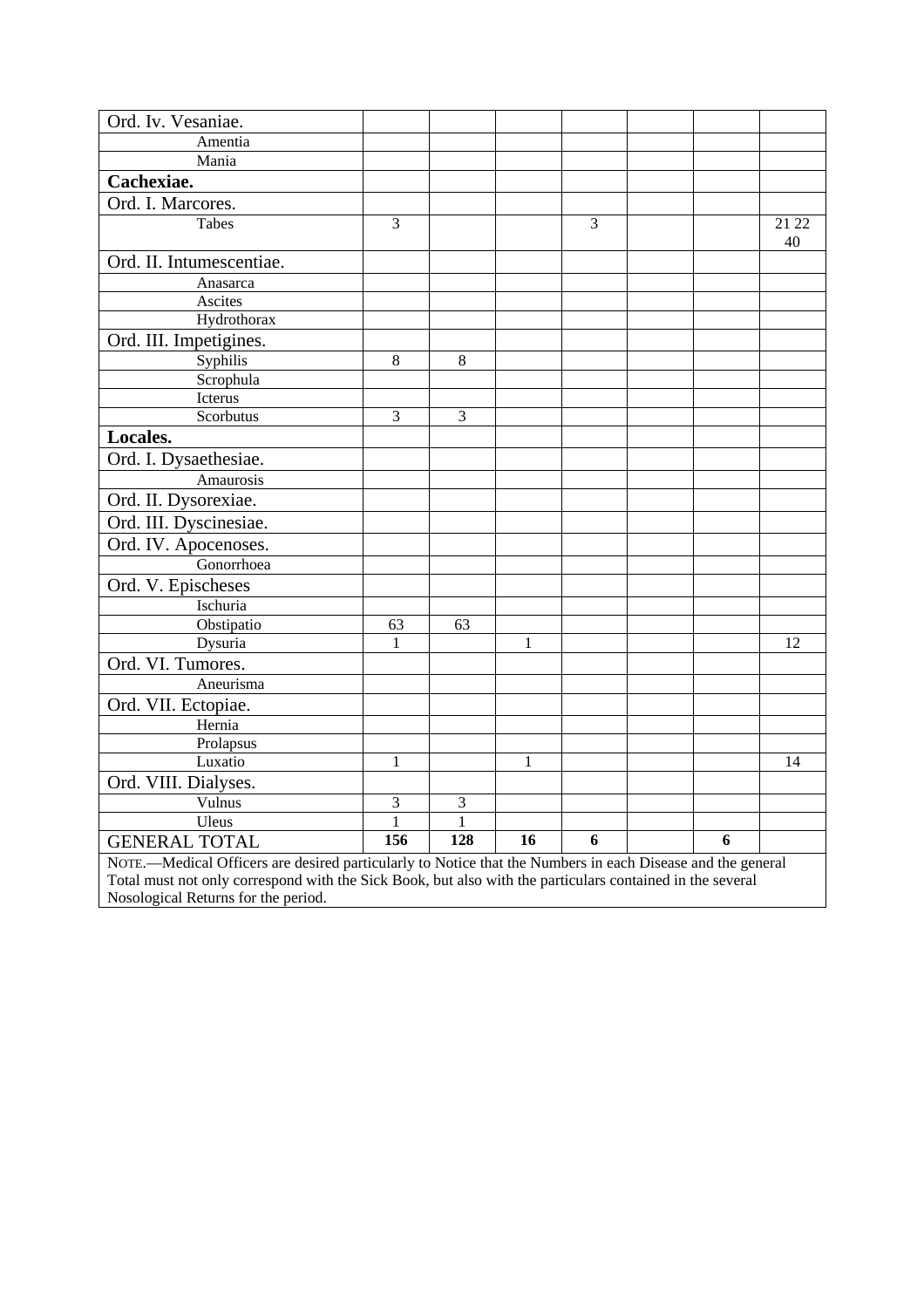| Ord. Iv. Vesaniae.                                                                                         |              |              |              |   |  |   |             |
|------------------------------------------------------------------------------------------------------------|--------------|--------------|--------------|---|--|---|-------------|
| Amentia                                                                                                    |              |              |              |   |  |   |             |
| Mania                                                                                                      |              |              |              |   |  |   |             |
| Cachexiae.                                                                                                 |              |              |              |   |  |   |             |
|                                                                                                            |              |              |              |   |  |   |             |
| Ord. I. Marcores.                                                                                          |              |              |              |   |  |   |             |
| <b>Tabes</b>                                                                                               | 3            |              |              | 3 |  |   | 21 22<br>40 |
| Ord. II. Intumescentiae.                                                                                   |              |              |              |   |  |   |             |
| Anasarca                                                                                                   |              |              |              |   |  |   |             |
| Ascites                                                                                                    |              |              |              |   |  |   |             |
| Hydrothorax                                                                                                |              |              |              |   |  |   |             |
| Ord. III. Impetigines.                                                                                     |              |              |              |   |  |   |             |
| Syphilis                                                                                                   | 8            | $\,8\,$      |              |   |  |   |             |
| Scrophula                                                                                                  |              |              |              |   |  |   |             |
| Icterus                                                                                                    |              |              |              |   |  |   |             |
| Scorbutus                                                                                                  | 3            | 3            |              |   |  |   |             |
| Locales.                                                                                                   |              |              |              |   |  |   |             |
| Ord. I. Dysaethesiae.                                                                                      |              |              |              |   |  |   |             |
| Amaurosis                                                                                                  |              |              |              |   |  |   |             |
| Ord. II. Dysorexiae.                                                                                       |              |              |              |   |  |   |             |
| Ord. III. Dyscinesiae.                                                                                     |              |              |              |   |  |   |             |
| Ord. IV. Apocenoses.                                                                                       |              |              |              |   |  |   |             |
| Gonorrhoea                                                                                                 |              |              |              |   |  |   |             |
| Ord. V. Epischeses                                                                                         |              |              |              |   |  |   |             |
| Ischuria                                                                                                   |              |              |              |   |  |   |             |
| Obstipatio                                                                                                 | 63           | 63           |              |   |  |   |             |
| Dysuria                                                                                                    | 1            |              | $\mathbf{1}$ |   |  |   | 12          |
| Ord. VI. Tumores.                                                                                          |              |              |              |   |  |   |             |
| Aneurisma                                                                                                  |              |              |              |   |  |   |             |
| Ord. VII. Ectopiae.                                                                                        |              |              |              |   |  |   |             |
| Hernia                                                                                                     |              |              |              |   |  |   |             |
| Prolapsus                                                                                                  |              |              |              |   |  |   |             |
| Luxatio                                                                                                    | $\mathbf{1}$ |              | $\mathbf{1}$ |   |  |   | 14          |
| Ord. VIII. Dialyses.                                                                                       |              |              |              |   |  |   |             |
| Vulnus                                                                                                     | 3            | 3            |              |   |  |   |             |
| Uleus                                                                                                      | $\mathbf{1}$ | $\mathbf{1}$ |              |   |  |   |             |
| <b>GENERAL TOTAL</b>                                                                                       | 156          | 128          | 16           | 6 |  | 6 |             |
| NOTE.-Medical Officers are desired particularly to Notice that the Numbers in each Disease and the general |              |              |              |   |  |   |             |
| Total must not only correspond with the Sick Book, but also with the particulars contained in the several  |              |              |              |   |  |   |             |
| Nosological Returns for the period.                                                                        |              |              |              |   |  |   |             |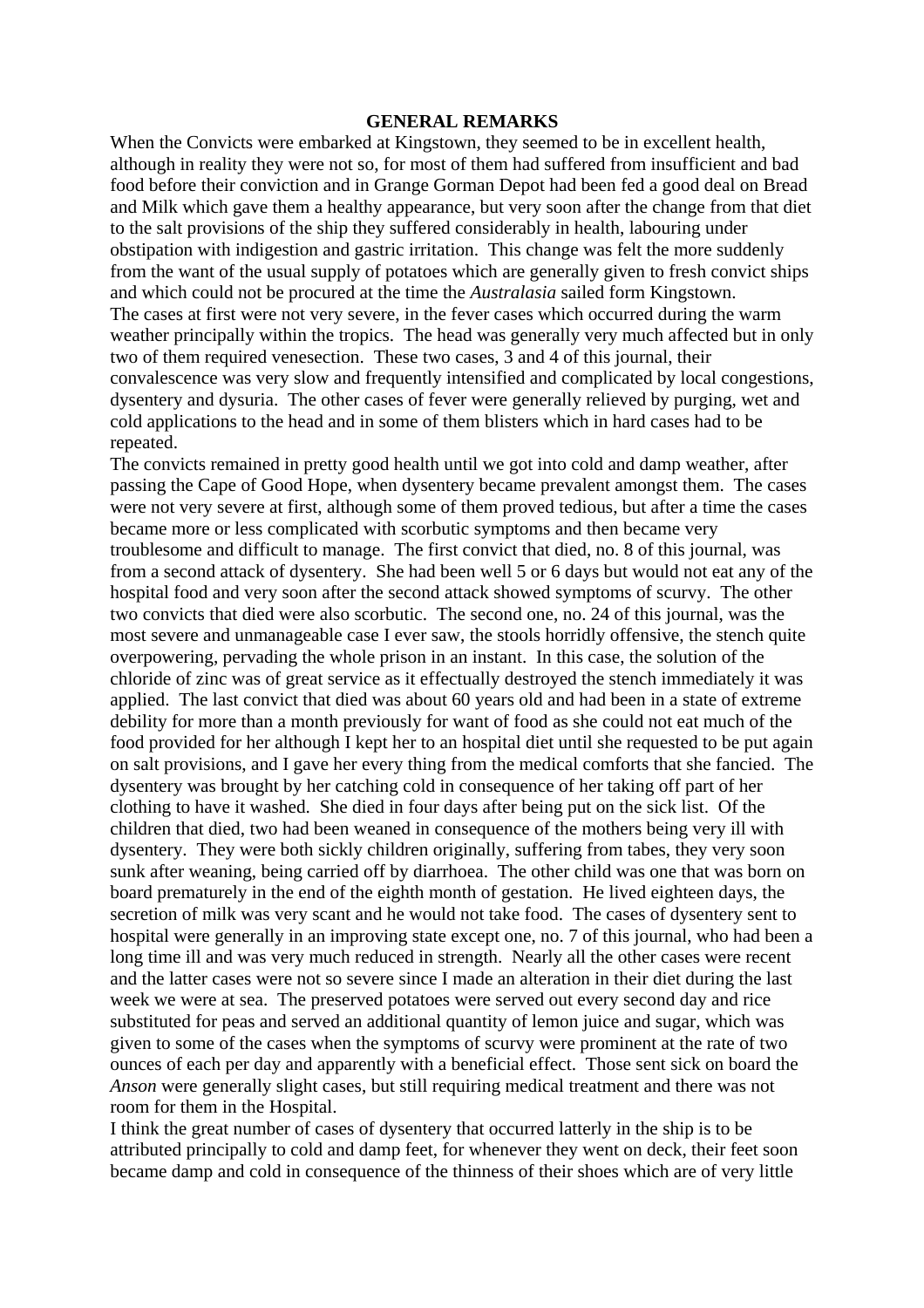## **GENERAL REMARKS**

When the Convicts were embarked at Kingstown, they seemed to be in excellent health, although in reality they were not so, for most of them had suffered from insufficient and bad food before their conviction and in Grange Gorman Depot had been fed a good deal on Bread and Milk which gave them a healthy appearance, but very soon after the change from that diet to the salt provisions of the ship they suffered considerably in health, labouring under obstipation with indigestion and gastric irritation. This change was felt the more suddenly from the want of the usual supply of potatoes which are generally given to fresh convict ships and which could not be procured at the time the *Australasia* sailed form Kingstown. The cases at first were not very severe, in the fever cases which occurred during the warm weather principally within the tropics. The head was generally very much affected but in only two of them required venesection. These two cases, 3 and 4 of this journal, their convalescence was very slow and frequently intensified and complicated by local congestions, dysentery and dysuria. The other cases of fever were generally relieved by purging, wet and cold applications to the head and in some of them blisters which in hard cases had to be repeated.

The convicts remained in pretty good health until we got into cold and damp weather, after passing the Cape of Good Hope, when dysentery became prevalent amongst them. The cases were not very severe at first, although some of them proved tedious, but after a time the cases became more or less complicated with scorbutic symptoms and then became very troublesome and difficult to manage. The first convict that died, no. 8 of this journal, was from a second attack of dysentery. She had been well 5 or 6 days but would not eat any of the hospital food and very soon after the second attack showed symptoms of scurvy. The other two convicts that died were also scorbutic. The second one, no. 24 of this journal, was the most severe and unmanageable case I ever saw, the stools horridly offensive, the stench quite overpowering, pervading the whole prison in an instant. In this case, the solution of the chloride of zinc was of great service as it effectually destroyed the stench immediately it was applied. The last convict that died was about 60 years old and had been in a state of extreme debility for more than a month previously for want of food as she could not eat much of the food provided for her although I kept her to an hospital diet until she requested to be put again on salt provisions, and I gave her every thing from the medical comforts that she fancied. The dysentery was brought by her catching cold in consequence of her taking off part of her clothing to have it washed. She died in four days after being put on the sick list. Of the children that died, two had been weaned in consequence of the mothers being very ill with dysentery. They were both sickly children originally, suffering from tabes, they very soon sunk after weaning, being carried off by diarrhoea. The other child was one that was born on board prematurely in the end of the eighth month of gestation. He lived eighteen days, the secretion of milk was very scant and he would not take food. The cases of dysentery sent to hospital were generally in an improving state except one, no. 7 of this journal, who had been a long time ill and was very much reduced in strength. Nearly all the other cases were recent and the latter cases were not so severe since I made an alteration in their diet during the last week we were at sea. The preserved potatoes were served out every second day and rice substituted for peas and served an additional quantity of lemon juice and sugar, which was given to some of the cases when the symptoms of scurvy were prominent at the rate of two ounces of each per day and apparently with a beneficial effect. Those sent sick on board the *Anson* were generally slight cases, but still requiring medical treatment and there was not room for them in the Hospital.

I think the great number of cases of dysentery that occurred latterly in the ship is to be attributed principally to cold and damp feet, for whenever they went on deck, their feet soon became damp and cold in consequence of the thinness of their shoes which are of very little